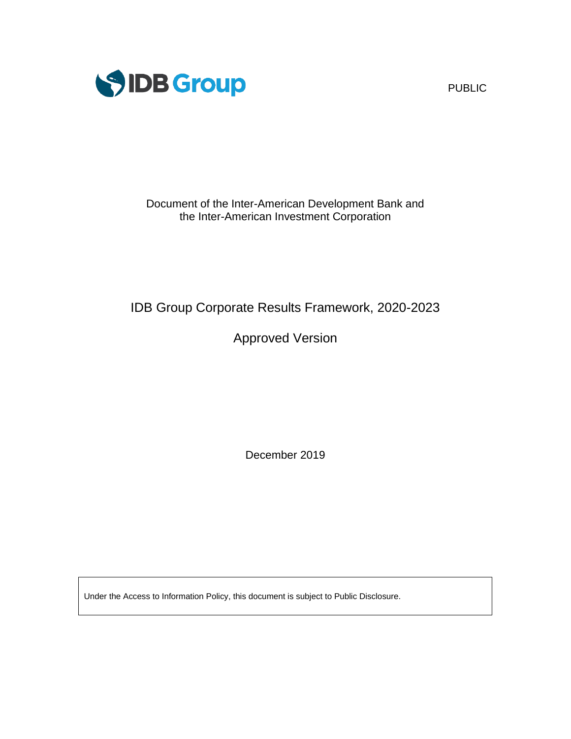

PUBLIC

Document of the Inter-American Development Bank and the Inter-American Investment Corporation

# IDB Group Corporate Results Framework, 2020-2023

# Approved Version

December 2019

Under the Access to Information Policy, this document is subject to Public Disclosure.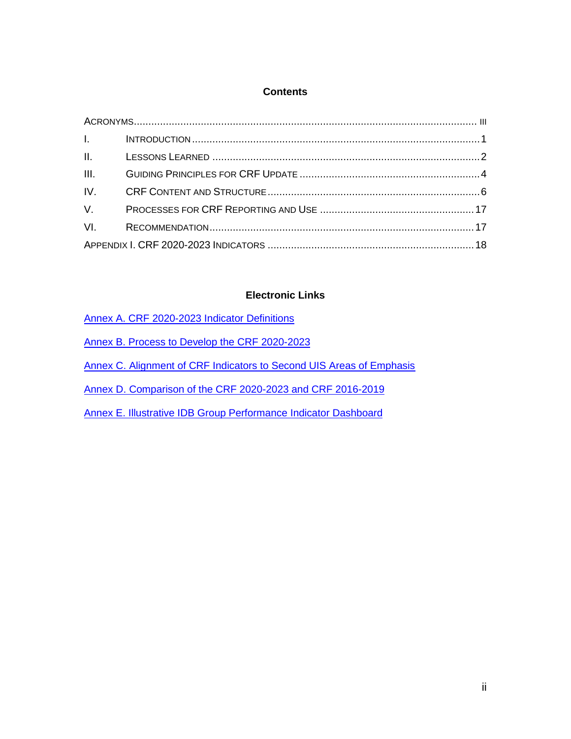## **Contents**

# **Electronic Links**

| Annex A. CRF 2020-2023 Indicator Definitions |  |
|----------------------------------------------|--|
|                                              |  |

[Annex B. Process to Develop the CRF 2020-2023](https://idbg.sharepoint.com/:b:/s/CRF2020-2023/EUMC-6eX9EBHobHboNe2H6QB2DGK36tH6pGVUnrv4AW8rg)

[Annex C. Alignment of CRF Indicators to Second UIS Areas of Emphasis](https://idbg.sharepoint.com/:b:/s/CRF2020-2023/EXLygCL3US5Nm8RPqHxK11gBD4OpECvSnZpcrxz6OZdPkg)

[Annex D. Comparison of the CRF 2020-2023 and CRF 2016-2019](https://idbg.sharepoint.com/:b:/s/CRF2020-2023/EbMAvmXO02lBogkb2s-r_3kBiYb0Iyh8mCVT-mH_N6K8aQ)

[Annex E. Illustrative IDB Group Performance](https://idbg.sharepoint.com/:b:/s/CRF2020-2023/EY-6F30-z45KgzsVBwS4c_sB08VUMz_uoMRwmxJyX2xG5w) Indicator Dashboard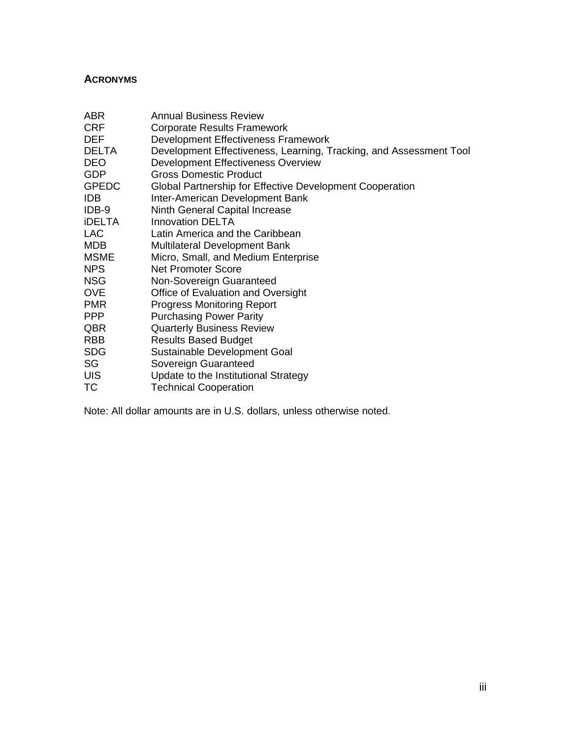# <span id="page-2-0"></span>**ACRONYMS**

| ABR           | <b>Annual Business Review</b>                                      |
|---------------|--------------------------------------------------------------------|
| <b>CRF</b>    | <b>Corporate Results Framework</b>                                 |
| DEF           | Development Effectiveness Framework                                |
| <b>DELTA</b>  | Development Effectiveness, Learning, Tracking, and Assessment Tool |
| <b>DEO</b>    | Development Effectiveness Overview                                 |
| GDP           | <b>Gross Domestic Product</b>                                      |
| <b>GPEDC</b>  | Global Partnership for Effective Development Cooperation           |
| <b>IDB</b>    | Inter-American Development Bank                                    |
| IDB-9         | Ninth General Capital Increase                                     |
| <b>iDELTA</b> | <b>Innovation DELTA</b>                                            |
| <b>LAC</b>    | Latin America and the Caribbean                                    |
| <b>MDB</b>    | <b>Multilateral Development Bank</b>                               |
| <b>MSME</b>   | Micro, Small, and Medium Enterprise                                |
| <b>NPS</b>    | <b>Net Promoter Score</b>                                          |
| <b>NSG</b>    | Non-Sovereign Guaranteed                                           |
| <b>OVE</b>    | Office of Evaluation and Oversight                                 |
| <b>PMR</b>    | <b>Progress Monitoring Report</b>                                  |
| PPP           | <b>Purchasing Power Parity</b>                                     |
| QBR           | <b>Quarterly Business Review</b>                                   |
| <b>RBB</b>    | <b>Results Based Budget</b>                                        |
| <b>SDG</b>    | Sustainable Development Goal                                       |
| SG            | Sovereign Guaranteed                                               |
| <b>UIS</b>    | Update to the Institutional Strategy                               |
| ТC            | <b>Technical Cooperation</b>                                       |

Note: All dollar amounts are in U.S. dollars, unless otherwise noted.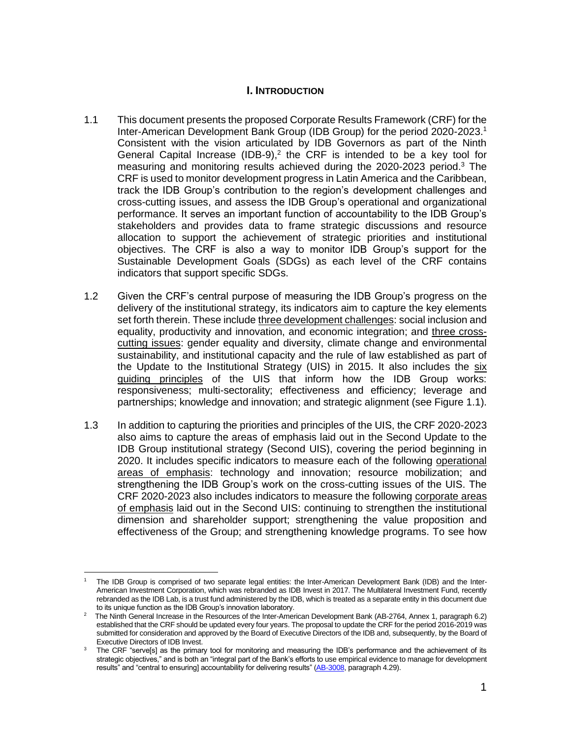### **I. INTRODUCTION**

- <span id="page-3-0"></span>1.1 This document presents the proposed Corporate Results Framework (CRF) for the Inter-American Development Bank Group (IDB Group) for the period 2020-2023.<sup>1</sup> Consistent with the vision articulated by IDB Governors as part of the Ninth General Capital Increase (IDB-9),<sup>2</sup> the CRF is intended to be a key tool for measuring and monitoring results achieved during the 2020-2023 period.<sup>3</sup> The CRF is used to monitor development progress in Latin America and the Caribbean, track the IDB Group's contribution to the region's development challenges and cross-cutting issues, and assess the IDB Group's operational and organizational performance. It serves an important function of accountability to the IDB Group's stakeholders and provides data to frame strategic discussions and resource allocation to support the achievement of strategic priorities and institutional objectives. The CRF is also a way to monitor IDB Group's support for the Sustainable Development Goals (SDGs) as each level of the CRF contains indicators that support specific SDGs.
- 1.2 Given the CRF's central purpose of measuring the IDB Group's progress on the delivery of the institutional strategy, its indicators aim to capture the key elements set forth therein. These include three development challenges: social inclusion and equality, productivity and innovation, and economic integration; and three crosscutting issues: gender equality and diversity, climate change and environmental sustainability, and institutional capacity and the rule of law established as part of the Update to the Institutional Strategy (UIS) in 2015. It also includes the six guiding principles of the UIS that inform how the IDB Group works: responsiveness; multi-sectorality; effectiveness and efficiency; leverage and partnerships; knowledge and innovation; and strategic alignment (see Figure 1.1).
- 1.3 In addition to capturing the priorities and principles of the UIS, the CRF 2020-2023 also aims to capture the areas of emphasis laid out in the Second Update to the IDB Group institutional strategy (Second UIS), covering the period beginning in 2020. It includes specific indicators to measure each of the following operational areas of emphasis: technology and innovation; resource mobilization; and strengthening the IDB Group's work on the cross-cutting issues of the UIS. The CRF 2020-2023 also includes indicators to measure the following corporate areas of emphasis laid out in the Second UIS: continuing to strengthen the institutional dimension and shareholder support; strengthening the value proposition and effectiveness of the Group; and strengthening knowledge programs. To see how

<sup>1</sup> The IDB Group is comprised of two separate legal entities: the Inter-American Development Bank (IDB) and the Inter-American Investment Corporation, which was rebranded as IDB Invest in 2017. The Multilateral Investment Fund, recently rebranded as the IDB Lab, is a trust fund administered by the IDB, which is treated as a separate entity in this document due to its unique function as the IDB Group's innovation laboratory.

<sup>&</sup>lt;sup>2</sup> The Ninth General Increase in the Resources of the Inter-American Development Bank (AB-2764, Annex 1, paragraph 6.2) established that the CRF should be updated every four years. The proposal to update the CRF for the period 2016-2019 was submitted for consideration and approved by the Board of Executive Directors of the IDB and, subsequently, by the Board of Executive Directors of IDB Invest.

The CRF "serve[s] as the primary tool for monitoring and measuring the IDB's performance and the achievement of its strategic objectives," and is both an "integral part of the Bank's efforts to use empirical evidence to manage for development results" and "central to ensuring] accountability for delivering results" [\(AB-3008,](http://sec.iadb.org/Site/Documents/DOC_Detail.aspx?pSecRegN=AB-3008) paragraph 4.29).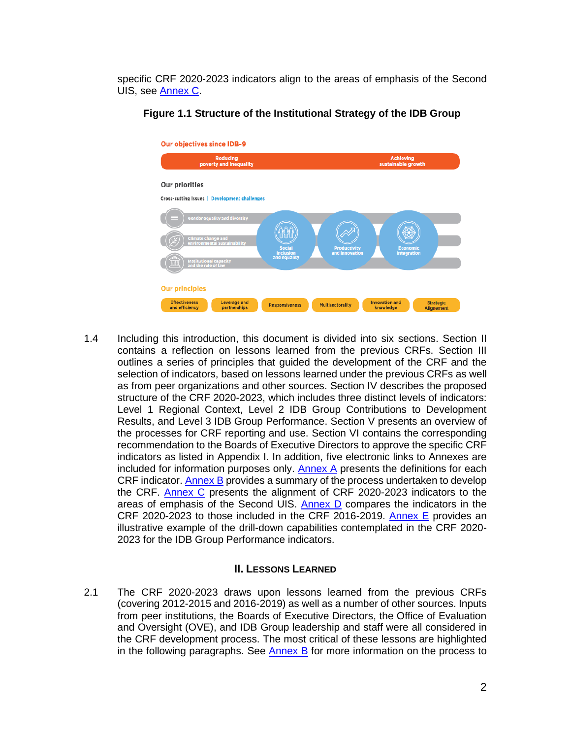specific CRF 2020-2023 indicators align to the areas of emphasis of the Second UIS, see [Annex C.](https://idbg.sharepoint.com/:b:/s/CRF2020-2023/EXLygCL3US5Nm8RPqHxK11gBD4OpECvSnZpcrxz6OZdPkg)



**Figure 1.1 Structure of the Institutional Strategy of the IDB Group**

1.4 Including this introduction, this document is divided into six sections. Section II contains a reflection on lessons learned from the previous CRFs. Section III outlines a series of principles that guided the development of the CRF and the selection of indicators, based on lessons learned under the previous CRFs as well as from peer organizations and other sources. Section IV describes the proposed structure of the CRF 2020-2023, which includes three distinct levels of indicators: Level 1 Regional Context, Level 2 IDB Group Contributions to Development Results, and Level 3 IDB Group Performance. Section V presents an overview of the processes for CRF reporting and use. Section VI contains the corresponding recommendation to the Boards of Executive Directors to approve the specific CRF indicators as listed in Appendix I. In addition, five electronic links to Annexes are included for information purposes only. [Annex A](https://idbg.sharepoint.com/:b:/s/CRF2020-2023/EeqsamRyiRhEhQ0dFbeJvwoBcEeOyFmNyXHQQccXlmoFfQ) presents the definitions for each CRF indicator. [Annex B](https://idbg.sharepoint.com/:b:/s/CRF2020-2023/EUMC-6eX9EBHobHboNe2H6QB2DGK36tH6pGVUnrv4AW8rg) provides a summary of the process undertaken to develop the CRF. [Annex C](https://idbg.sharepoint.com/:b:/s/CRF2020-2023/EXLygCL3US5Nm8RPqHxK11gBD4OpECvSnZpcrxz6OZdPkg) presents the alignment of CRF 2020-2023 indicators to the areas of emphasis of the Second UIS. [Annex D](https://idbg.sharepoint.com/:b:/s/CRF2020-2023/EbMAvmXO02lBogkb2s-r_3kBiYb0Iyh8mCVT-mH_N6K8aQ) compares the indicators in the CRF 2020-2023 to those included in the CRF 2016-2019. [Annex E](https://idbg.sharepoint.com/:b:/s/CRF2020-2023/EY-6F30-z45KgzsVBwS4c_sB08VUMz_uoMRwmxJyX2xG5w) provides an illustrative example of the drill-down capabilities contemplated in the CRF 2020- 2023 for the IDB Group Performance indicators.

#### **II. LESSONS LEARNED**

<span id="page-4-0"></span>2.1 The CRF 2020-2023 draws upon lessons learned from the previous CRFs (covering 2012-2015 and 2016-2019) as well as a number of other sources. Inputs from peer institutions, the Boards of Executive Directors, the Office of Evaluation and Oversight (OVE), and IDB Group leadership and staff were all considered in the CRF development process. The most critical of these lessons are highlighted in the following paragraphs. See **Annex B** for more information on the process to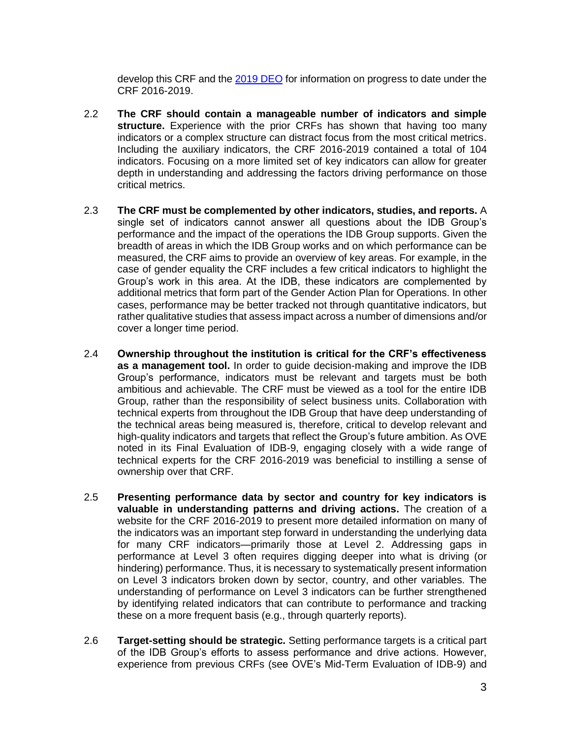develop this CRF and the [2019 DEO](https://publications.iadb.org/en/development-effectiveness-overview-deo-2019) for information on progress to date under the CRF 2016-2019.

- 2.2 **The CRF should contain a manageable number of indicators and simple structure.** Experience with the prior CRFs has shown that having too many indicators or a complex structure can distract focus from the most critical metrics. Including the auxiliary indicators, the CRF 2016-2019 contained a total of 104 indicators. Focusing on a more limited set of key indicators can allow for greater depth in understanding and addressing the factors driving performance on those critical metrics.
- 2.3 **The CRF must be complemented by other indicators, studies, and reports.** A single set of indicators cannot answer all questions about the IDB Group's performance and the impact of the operations the IDB Group supports. Given the breadth of areas in which the IDB Group works and on which performance can be measured, the CRF aims to provide an overview of key areas. For example, in the case of gender equality the CRF includes a few critical indicators to highlight the Group's work in this area. At the IDB, these indicators are complemented by additional metrics that form part of the Gender Action Plan for Operations. In other cases, performance may be better tracked not through quantitative indicators, but rather qualitative studies that assess impact across a number of dimensions and/or cover a longer time period.
- 2.4 **Ownership throughout the institution is critical for the CRF's effectiveness as a management tool.** In order to guide decision-making and improve the IDB Group's performance, indicators must be relevant and targets must be both ambitious and achievable. The CRF must be viewed as a tool for the entire IDB Group, rather than the responsibility of select business units. Collaboration with technical experts from throughout the IDB Group that have deep understanding of the technical areas being measured is, therefore, critical to develop relevant and high-quality indicators and targets that reflect the Group's future ambition. As OVE noted in its Final Evaluation of IDB-9, engaging closely with a wide range of technical experts for the CRF 2016-2019 was beneficial to instilling a sense of ownership over that CRF.
- 2.5 **Presenting performance data by sector and country for key indicators is valuable in understanding patterns and driving actions.** The creation of a website for the CRF 2016-2019 to present more detailed information on many of the indicators was an important step forward in understanding the underlying data for many CRF indicators—primarily those at Level 2. Addressing gaps in performance at Level 3 often requires digging deeper into what is driving (or hindering) performance. Thus, it is necessary to systematically present information on Level 3 indicators broken down by sector, country, and other variables. The understanding of performance on Level 3 indicators can be further strengthened by identifying related indicators that can contribute to performance and tracking these on a more frequent basis (e.g., through quarterly reports).
- 2.6 **Target-setting should be strategic.** Setting performance targets is a critical part of the IDB Group's efforts to assess performance and drive actions. However, experience from previous CRFs (see OVE's Mid-Term Evaluation of IDB-9) and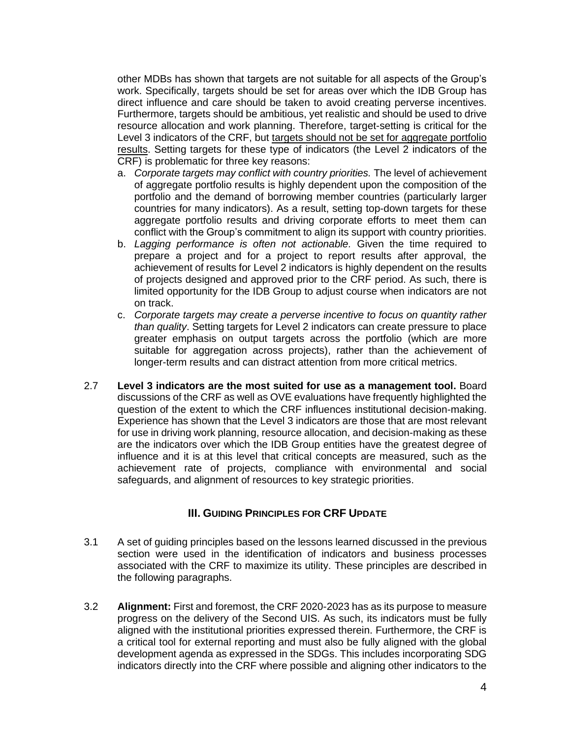other MDBs has shown that targets are not suitable for all aspects of the Group's work. Specifically, targets should be set for areas over which the IDB Group has direct influence and care should be taken to avoid creating perverse incentives. Furthermore, targets should be ambitious, yet realistic and should be used to drive resource allocation and work planning. Therefore, target-setting is critical for the Level 3 indicators of the CRF, but targets should not be set for aggregate portfolio results. Setting targets for these type of indicators (the Level 2 indicators of the CRF) is problematic for three key reasons:

- a. *Corporate targets may conflict with country priorities.* The level of achievement of aggregate portfolio results is highly dependent upon the composition of the portfolio and the demand of borrowing member countries (particularly larger countries for many indicators). As a result, setting top-down targets for these aggregate portfolio results and driving corporate efforts to meet them can conflict with the Group's commitment to align its support with country priorities.
- b. *Lagging performance is often not actionable.* Given the time required to prepare a project and for a project to report results after approval, the achievement of results for Level 2 indicators is highly dependent on the results of projects designed and approved prior to the CRF period. As such, there is limited opportunity for the IDB Group to adjust course when indicators are not on track.
- c. *Corporate targets may create a perverse incentive to focus on quantity rather than quality*. Setting targets for Level 2 indicators can create pressure to place greater emphasis on output targets across the portfolio (which are more suitable for aggregation across projects), rather than the achievement of longer-term results and can distract attention from more critical metrics.
- 2.7 **Level 3 indicators are the most suited for use as a management tool.** Board discussions of the CRF as well as OVE evaluations have frequently highlighted the question of the extent to which the CRF influences institutional decision-making. Experience has shown that the Level 3 indicators are those that are most relevant for use in driving work planning, resource allocation, and decision-making as these are the indicators over which the IDB Group entities have the greatest degree of influence and it is at this level that critical concepts are measured, such as the achievement rate of projects, compliance with environmental and social safeguards, and alignment of resources to key strategic priorities.

### **III. GUIDING PRINCIPLES FOR CRF UPDATE**

- <span id="page-6-0"></span>3.1 A set of guiding principles based on the lessons learned discussed in the previous section were used in the identification of indicators and business processes associated with the CRF to maximize its utility. These principles are described in the following paragraphs.
- 3.2 **Alignment:** First and foremost, the CRF 2020-2023 has as its purpose to measure progress on the delivery of the Second UIS. As such, its indicators must be fully aligned with the institutional priorities expressed therein. Furthermore, the CRF is a critical tool for external reporting and must also be fully aligned with the global development agenda as expressed in the SDGs. This includes incorporating SDG indicators directly into the CRF where possible and aligning other indicators to the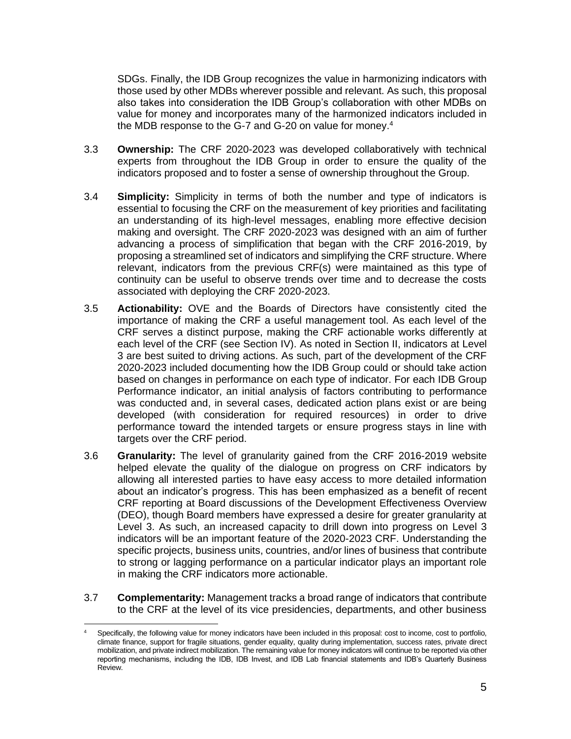SDGs. Finally, the IDB Group recognizes the value in harmonizing indicators with those used by other MDBs wherever possible and relevant. As such, this proposal also takes into consideration the IDB Group's collaboration with other MDBs on value for money and incorporates many of the harmonized indicators included in the MDB response to the G-7 and G-20 on value for money. 4

- 3.3 **Ownership:** The CRF 2020-2023 was developed collaboratively with technical experts from throughout the IDB Group in order to ensure the quality of the indicators proposed and to foster a sense of ownership throughout the Group.
- 3.4 **Simplicity:** Simplicity in terms of both the number and type of indicators is essential to focusing the CRF on the measurement of key priorities and facilitating an understanding of its high-level messages, enabling more effective decision making and oversight. The CRF 2020-2023 was designed with an aim of further advancing a process of simplification that began with the CRF 2016-2019, by proposing a streamlined set of indicators and simplifying the CRF structure. Where relevant, indicators from the previous CRF(s) were maintained as this type of continuity can be useful to observe trends over time and to decrease the costs associated with deploying the CRF 2020-2023.
- 3.5 **Actionability:** OVE and the Boards of Directors have consistently cited the importance of making the CRF a useful management tool. As each level of the CRF serves a distinct purpose, making the CRF actionable works differently at each level of the CRF (see Section IV). As noted in Section II, indicators at Level 3 are best suited to driving actions. As such, part of the development of the CRF 2020-2023 included documenting how the IDB Group could or should take action based on changes in performance on each type of indicator. For each IDB Group Performance indicator, an initial analysis of factors contributing to performance was conducted and, in several cases, dedicated action plans exist or are being developed (with consideration for required resources) in order to drive performance toward the intended targets or ensure progress stays in line with targets over the CRF period.
- 3.6 **Granularity:** The level of granularity gained from the CRF 2016-2019 website helped elevate the quality of the dialogue on progress on CRF indicators by allowing all interested parties to have easy access to more detailed information about an indicator's progress. This has been emphasized as a benefit of recent CRF reporting at Board discussions of the Development Effectiveness Overview (DEO), though Board members have expressed a desire for greater granularity at Level 3. As such, an increased capacity to drill down into progress on Level 3 indicators will be an important feature of the 2020-2023 CRF. Understanding the specific projects, business units, countries, and/or lines of business that contribute to strong or lagging performance on a particular indicator plays an important role in making the CRF indicators more actionable.
- 3.7 **Complementarity:** Management tracks a broad range of indicators that contribute to the CRF at the level of its vice presidencies, departments, and other business

Specifically, the following value for money indicators have been included in this proposal: cost to income, cost to portfolio, climate finance, support for fragile situations, gender equality, quality during implementation, success rates, private direct mobilization, and private indirect mobilization. The remaining value for money indicators will continue to be reported via other reporting mechanisms, including the IDB, IDB Invest, and IDB Lab financial statements and IDB's Quarterly Business Review.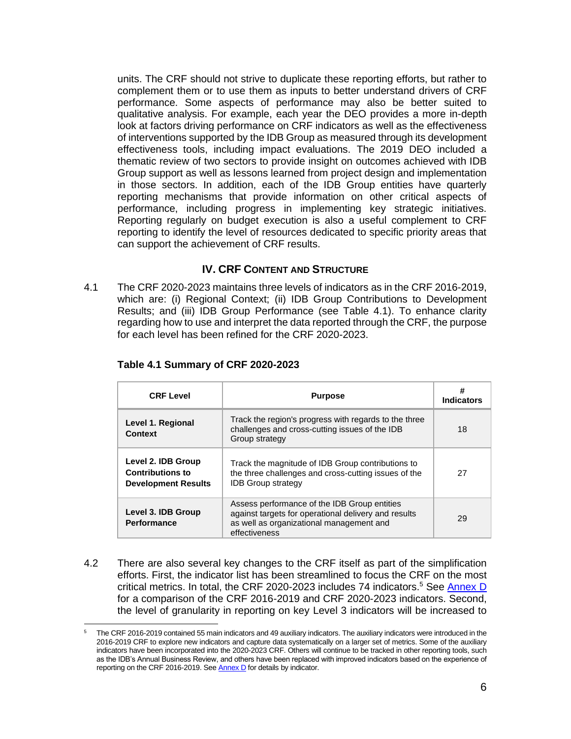units. The CRF should not strive to duplicate these reporting efforts, but rather to complement them or to use them as inputs to better understand drivers of CRF performance. Some aspects of performance may also be better suited to qualitative analysis. For example, each year the DEO provides a more in-depth look at factors driving performance on CRF indicators as well as the effectiveness of interventions supported by the IDB Group as measured through its development effectiveness tools, including impact evaluations. The 2019 DEO included a thematic review of two sectors to provide insight on outcomes achieved with IDB Group support as well as lessons learned from project design and implementation in those sectors. In addition, each of the IDB Group entities have quarterly reporting mechanisms that provide information on other critical aspects of performance, including progress in implementing key strategic initiatives. Reporting regularly on budget execution is also a useful complement to CRF reporting to identify the level of resources dedicated to specific priority areas that can support the achievement of CRF results.

### **IV. CRF CONTENT AND STRUCTURE**

<span id="page-8-0"></span>4.1 The CRF 2020-2023 maintains three levels of indicators as in the CRF 2016-2019, which are: (i) Regional Context; (ii) IDB Group Contributions to Development Results; and (iii) IDB Group Performance (see Table 4.1). To enhance clarity regarding how to use and interpret the data reported through the CRF, the purpose for each level has been refined for the CRF 2020-2023.

| <b>CRF Level</b>                                                            | <b>Purpose</b>                                                                                                                                                    | #<br><b>Indicators</b> |
|-----------------------------------------------------------------------------|-------------------------------------------------------------------------------------------------------------------------------------------------------------------|------------------------|
| Level 1. Regional<br><b>Context</b>                                         | Track the region's progress with regards to the three<br>challenges and cross-cutting issues of the IDB<br>Group strategy                                         | 18                     |
| Level 2. IDB Group<br><b>Contributions to</b><br><b>Development Results</b> | Track the magnitude of IDB Group contributions to<br>the three challenges and cross-cutting issues of the<br><b>IDB Group strategy</b>                            | 27                     |
| Level 3. IDB Group<br>Performance                                           | Assess performance of the IDB Group entities<br>against targets for operational delivery and results<br>as well as organizational management and<br>effectiveness | 29                     |

#### **Table 4.1 Summary of CRF 2020-2023**

4.2 There are also several key changes to the CRF itself as part of the simplification efforts. First, the indicator list has been streamlined to focus the CRF on the most critical metrics. In total, the CRF 2020-2023 includes 74 indicators.<sup>5</sup> See [Annex D](https://idbg.sharepoint.com/:b:/s/CRF2020-2023/EbMAvmXO02lBogkb2s-r_3kBiYb0Iyh8mCVT-mH_N6K8aQ) for a comparison of the CRF 2016-2019 and CRF 2020-2023 indicators. Second, the level of granularity in reporting on key Level 3 indicators will be increased to

<sup>5</sup> The CRF 2016-2019 contained 55 main indicators and 49 auxiliary indicators. The auxiliary indicators were introduced in the 2016-2019 CRF to explore new indicators and capture data systematically on a larger set of metrics. Some of the auxiliary indicators have been incorporated into the 2020-2023 CRF. Others will continue to be tracked in other reporting tools, such as the IDB's Annual Business Review, and others have been replaced with improved indicators based on the experience of reporting on the CRF 2016-2019. Se[e Annex D](https://idbg.sharepoint.com/:b:/s/CRF2020-2023/EbMAvmXO02lBogkb2s-r_3kBiYb0Iyh8mCVT-mH_N6K8aQ) for details by indicator.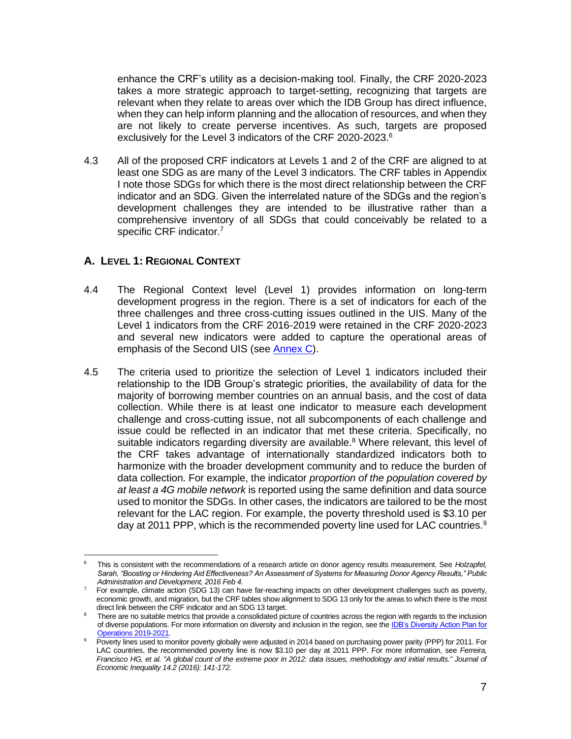enhance the CRF's utility as a decision-making tool. Finally, the CRF 2020-2023 takes a more strategic approach to target-setting, recognizing that targets are relevant when they relate to areas over which the IDB Group has direct influence, when they can help inform planning and the allocation of resources, and when they are not likely to create perverse incentives. As such, targets are proposed exclusively for the Level 3 indicators of the CRF 2020-2023.<sup>6</sup>

4.3 All of the proposed CRF indicators at Levels 1 and 2 of the CRF are aligned to at least one SDG as are many of the Level 3 indicators. The CRF tables in Appendix I note those SDGs for which there is the most direct relationship between the CRF indicator and an SDG. Given the interrelated nature of the SDGs and the region's development challenges they are intended to be illustrative rather than a comprehensive inventory of all SDGs that could conceivably be related to a specific CRF indicator.<sup>7</sup>

## **A. LEVEL 1: REGIONAL CONTEXT**

- 4.4 The Regional Context level (Level 1) provides information on long-term development progress in the region. There is a set of indicators for each of the three challenges and three cross-cutting issues outlined in the UIS. Many of the Level 1 indicators from the CRF 2016-2019 were retained in the CRF 2020-2023 and several new indicators were added to capture the operational areas of emphasis of the Second UIS (see [Annex C\)](https://idbg.sharepoint.com/:b:/s/CRF2020-2023/EXLygCL3US5Nm8RPqHxK11gBD4OpECvSnZpcrxz6OZdPkg).
- 4.5 The criteria used to prioritize the selection of Level 1 indicators included their relationship to the IDB Group's strategic priorities, the availability of data for the majority of borrowing member countries on an annual basis, and the cost of data collection. While there is at least one indicator to measure each development challenge and cross-cutting issue, not all subcomponents of each challenge and issue could be reflected in an indicator that met these criteria. Specifically, no suitable indicators regarding diversity are available.<sup>8</sup> Where relevant, this level of the CRF takes advantage of internationally standardized indicators both to harmonize with the broader development community and to reduce the burden of data collection. For example, the indicator *proportion of the population covered by at least a 4G mobile network* is reported using the same definition and data source used to monitor the SDGs. In other cases, the indicators are tailored to be the most relevant for the LAC region. For example, the poverty threshold used is \$3.10 per day at 2011 PPP, which is the recommended poverty line used for LAC countries. $9$

<sup>6</sup> This is consistent with the recommendations of a research article on donor agency results measurement. See *Holzapfel, Sarah, "Boosting or Hindering Aid Effectiveness? An Assessment of Systems for Measuring Donor Agency Results," Public Administration and Development, 2016 Feb 4.*

<sup>&</sup>lt;sup>7</sup> For example, climate action (SDG 13) can have far-reaching impacts on other development challenges such as poverty, economic growth, and migration, but the CRF tables show alignment to SDG 13 only for the areas to which there is the most direct link between the CRF indicator and an SDG 13 target.

There are no suitable metrics that provide a consolidated picture of countries across the region with regards to the inclusion of diverse populations. For more information on diversity and inclusion in the region, see the IDB's Diversity Action Plan for [Operations 2019-2021.](http://www.iadb.org/document.cfm?id=EZSHARE-1313314906-221)

Poverty lines used to monitor poverty globally were adjusted in 2014 based on purchasing power parity (PPP) for 2011. For LAC countries, the recommended poverty line is now \$3.10 per day at 2011 PPP. For more information, see *Ferreira, Francisco HG, et al. "A global count of the extreme poor in 2012: data issues, methodology and initial results." Journal of Economic Inequality 14.2 (2016): 141-172*.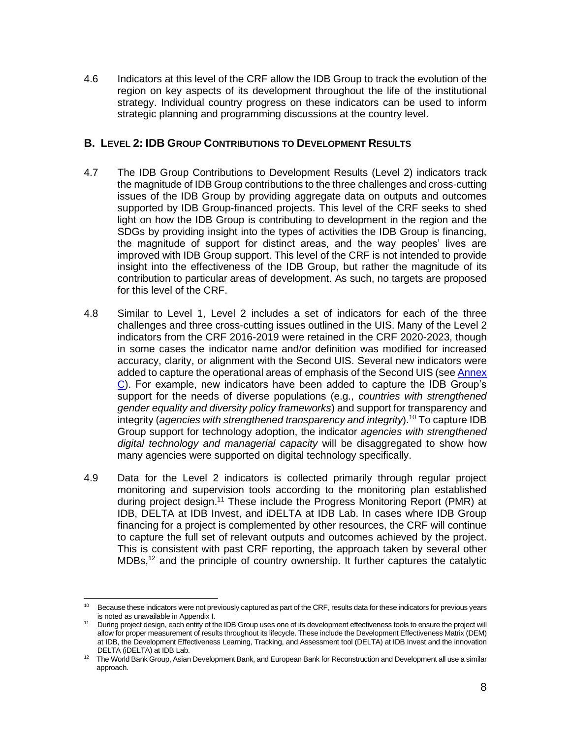4.6 Indicators at this level of the CRF allow the IDB Group to track the evolution of the region on key aspects of its development throughout the life of the institutional strategy. Individual country progress on these indicators can be used to inform strategic planning and programming discussions at the country level.

## **B. LEVEL 2: IDB GROUP CONTRIBUTIONS TO DEVELOPMENT RESULTS**

- 4.7 The IDB Group Contributions to Development Results (Level 2) indicators track the magnitude of IDB Group contributions to the three challenges and cross-cutting issues of the IDB Group by providing aggregate data on outputs and outcomes supported by IDB Group-financed projects. This level of the CRF seeks to shed light on how the IDB Group is contributing to development in the region and the SDGs by providing insight into the types of activities the IDB Group is financing, the magnitude of support for distinct areas, and the way peoples' lives are improved with IDB Group support. This level of the CRF is not intended to provide insight into the effectiveness of the IDB Group, but rather the magnitude of its contribution to particular areas of development. As such, no targets are proposed for this level of the CRF.
- 4.8 Similar to Level 1, Level 2 includes a set of indicators for each of the three challenges and three cross-cutting issues outlined in the UIS. Many of the Level 2 indicators from the CRF 2016-2019 were retained in the CRF 2020-2023, though in some cases the indicator name and/or definition was modified for increased accuracy, clarity, or alignment with the Second UIS. Several new indicators were added to capture the operational areas of emphasis of the Second UIS (see [Annex](https://idbg.sharepoint.com/:b:/s/CRF2020-2023/EXLygCL3US5Nm8RPqHxK11gBD4OpECvSnZpcrxz6OZdPkg)  [C\)](https://idbg.sharepoint.com/:b:/s/CRF2020-2023/EXLygCL3US5Nm8RPqHxK11gBD4OpECvSnZpcrxz6OZdPkg). For example, new indicators have been added to capture the IDB Group's support for the needs of diverse populations (e.g., *countries with strengthened gender equality and diversity policy frameworks*) and support for transparency and integrity (*agencies with strengthened transparency and integrity*).<sup>10</sup> To capture IDB Group support for technology adoption, the indicator *agencies with strengthened digital technology and managerial capacity* will be disaggregated to show how many agencies were supported on digital technology specifically.
- 4.9 Data for the Level 2 indicators is collected primarily through regular project monitoring and supervision tools according to the monitoring plan established during project design.<sup>11</sup> These include the Progress Monitoring Report (PMR) at IDB, DELTA at IDB Invest, and iDELTA at IDB Lab. In cases where IDB Group financing for a project is complemented by other resources, the CRF will continue to capture the full set of relevant outputs and outcomes achieved by the project. This is consistent with past CRF reporting, the approach taken by several other MDBs,<sup>12</sup> and the principle of country ownership. It further captures the catalytic

<sup>10</sup> Because these indicators were not previously captured as part of the CRF, results data for these indicators for previous years is noted as unavailable in Appendix I.

<sup>&</sup>lt;sup>11</sup> During project design, each entity of the IDB Group uses one of its development effectiveness tools to ensure the project will allow for proper measurement of results throughout its lifecycle. These include the Development Effectiveness Matrix (DEM) at IDB, the Development Effectiveness Learning, Tracking, and Assessment tool (DELTA) at IDB Invest and the innovation DELTA (iDELTA) at IDB Lab.

<sup>&</sup>lt;sup>12</sup> The World Bank Group, Asian Development Bank, and European Bank for Reconstruction and Development all use a similar approach.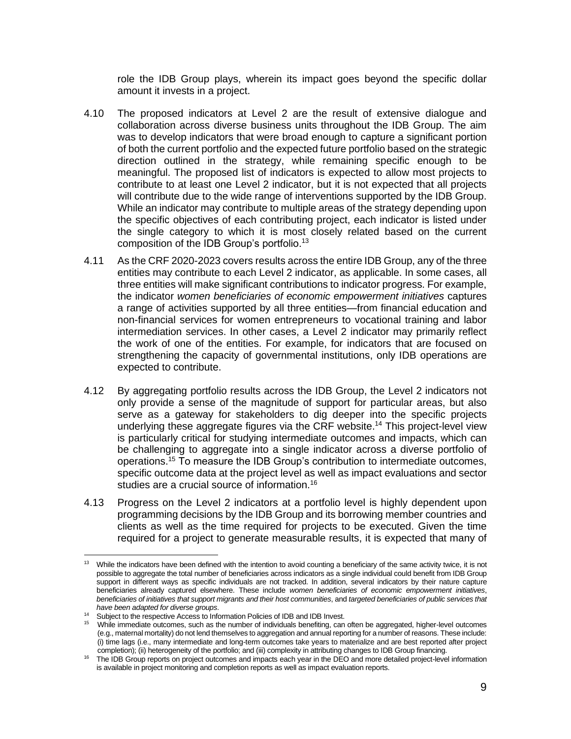role the IDB Group plays, wherein its impact goes beyond the specific dollar amount it invests in a project.

- 4.10 The proposed indicators at Level 2 are the result of extensive dialogue and collaboration across diverse business units throughout the IDB Group. The aim was to develop indicators that were broad enough to capture a significant portion of both the current portfolio and the expected future portfolio based on the strategic direction outlined in the strategy, while remaining specific enough to be meaningful. The proposed list of indicators is expected to allow most projects to contribute to at least one Level 2 indicator, but it is not expected that all projects will contribute due to the wide range of interventions supported by the IDB Group. While an indicator may contribute to multiple areas of the strategy depending upon the specific objectives of each contributing project, each indicator is listed under the single category to which it is most closely related based on the current composition of the IDB Group's portfolio.<sup>13</sup>
- 4.11 As the CRF 2020-2023 covers results across the entire IDB Group, any of the three entities may contribute to each Level 2 indicator, as applicable. In some cases, all three entities will make significant contributions to indicator progress. For example, the indicator *women beneficiaries of economic empowerment initiatives* captures a range of activities supported by all three entities—from financial education and non-financial services for women entrepreneurs to vocational training and labor intermediation services. In other cases, a Level 2 indicator may primarily reflect the work of one of the entities. For example, for indicators that are focused on strengthening the capacity of governmental institutions, only IDB operations are expected to contribute.
- 4.12 By aggregating portfolio results across the IDB Group, the Level 2 indicators not only provide a sense of the magnitude of support for particular areas, but also serve as a gateway for stakeholders to dig deeper into the specific projects underlying these aggregate figures via the CRF website. <sup>14</sup> This project-level view is particularly critical for studying intermediate outcomes and impacts, which can be challenging to aggregate into a single indicator across a diverse portfolio of operations.<sup>15</sup> To measure the IDB Group's contribution to intermediate outcomes, specific outcome data at the project level as well as impact evaluations and sector studies are a crucial source of information.<sup>16</sup>
- 4.13 Progress on the Level 2 indicators at a portfolio level is highly dependent upon programming decisions by the IDB Group and its borrowing member countries and clients as well as the time required for projects to be executed. Given the time required for a project to generate measurable results, it is expected that many of

<sup>&</sup>lt;sup>13</sup> While the indicators have been defined with the intention to avoid counting a beneficiary of the same activity twice, it is not possible to aggregate the total number of beneficiaries across indicators as a single individual could benefit from IDB Group support in different ways as specific individuals are not tracked. In addition, several indicators by their nature capture beneficiaries already captured elsewhere. These include *women beneficiaries of economic empowerment initiatives*, *beneficiaries of initiatives that support migrants and their host communities*, and *targeted beneficiaries of public services that have been adapted for diverse groups*.

<sup>14</sup> Subject to the respective Access to Information Policies of IDB and IDB Invest.

<sup>&</sup>lt;sup>15</sup> While immediate outcomes, such as the number of individuals benefiting, can often be aggregated, higher-level outcomes (e.g., maternal mortality) do not lend themselves to aggregation and annual reporting for a number of reasons. These include: (i) time lags (i.e., many intermediate and long-term outcomes take years to materialize and are best reported after project completion); (ii) heterogeneity of the portfolio; and (iii) complexity in attributing changes to IDB Group financing.

<sup>&</sup>lt;sup>16</sup> The IDB Group reports on project outcomes and impacts each year in the DEO and more detailed project-level information is available in project monitoring and completion reports as well as impact evaluation reports.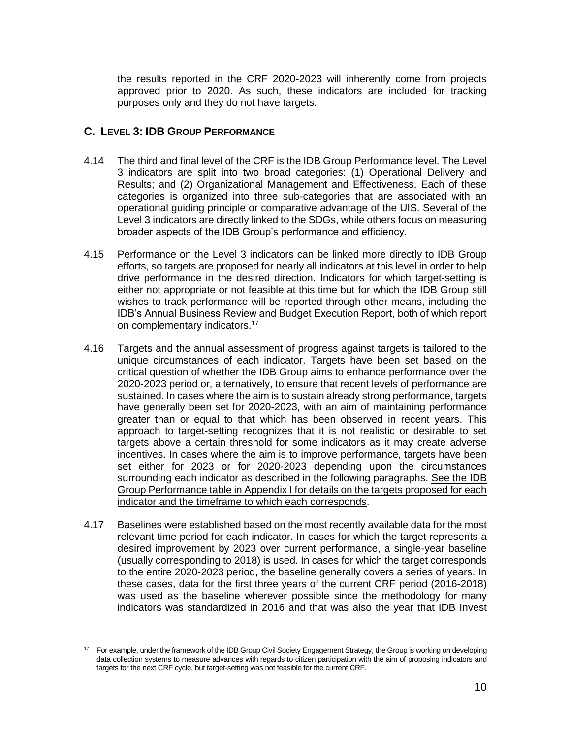the results reported in the CRF 2020-2023 will inherently come from projects approved prior to 2020. As such, these indicators are included for tracking purposes only and they do not have targets.

## **C. LEVEL 3: IDB GROUP PERFORMANCE**

- 4.14 The third and final level of the CRF is the IDB Group Performance level. The Level 3 indicators are split into two broad categories: (1) Operational Delivery and Results; and (2) Organizational Management and Effectiveness. Each of these categories is organized into three sub-categories that are associated with an operational guiding principle or comparative advantage of the UIS. Several of the Level 3 indicators are directly linked to the SDGs, while others focus on measuring broader aspects of the IDB Group's performance and efficiency.
- 4.15 Performance on the Level 3 indicators can be linked more directly to IDB Group efforts, so targets are proposed for nearly all indicators at this level in order to help drive performance in the desired direction. Indicators for which target-setting is either not appropriate or not feasible at this time but for which the IDB Group still wishes to track performance will be reported through other means, including the IDB's Annual Business Review and Budget Execution Report, both of which report on complementary indicators.<sup>17</sup>
- 4.16 Targets and the annual assessment of progress against targets is tailored to the unique circumstances of each indicator. Targets have been set based on the critical question of whether the IDB Group aims to enhance performance over the 2020-2023 period or, alternatively, to ensure that recent levels of performance are sustained. In cases where the aim is to sustain already strong performance, targets have generally been set for 2020-2023, with an aim of maintaining performance greater than or equal to that which has been observed in recent years. This approach to target-setting recognizes that it is not realistic or desirable to set targets above a certain threshold for some indicators as it may create adverse incentives. In cases where the aim is to improve performance, targets have been set either for 2023 or for 2020-2023 depending upon the circumstances surrounding each indicator as described in the following paragraphs. See the IDB Group Performance table in Appendix I for details on the targets proposed for each indicator and the timeframe to which each corresponds.
- 4.17 Baselines were established based on the most recently available data for the most relevant time period for each indicator. In cases for which the target represents a desired improvement by 2023 over current performance, a single-year baseline (usually corresponding to 2018) is used. In cases for which the target corresponds to the entire 2020-2023 period, the baseline generally covers a series of years. In these cases, data for the first three years of the current CRF period (2016-2018) was used as the baseline wherever possible since the methodology for many indicators was standardized in 2016 and that was also the year that IDB Invest

<sup>17</sup> For example, under the framework of the IDB Group Civil Society Engagement Strategy, the Group is working on developing data collection systems to measure advances with regards to citizen participation with the aim of proposing indicators and targets for the next CRF cycle, but target-setting was not feasible for the current CRF.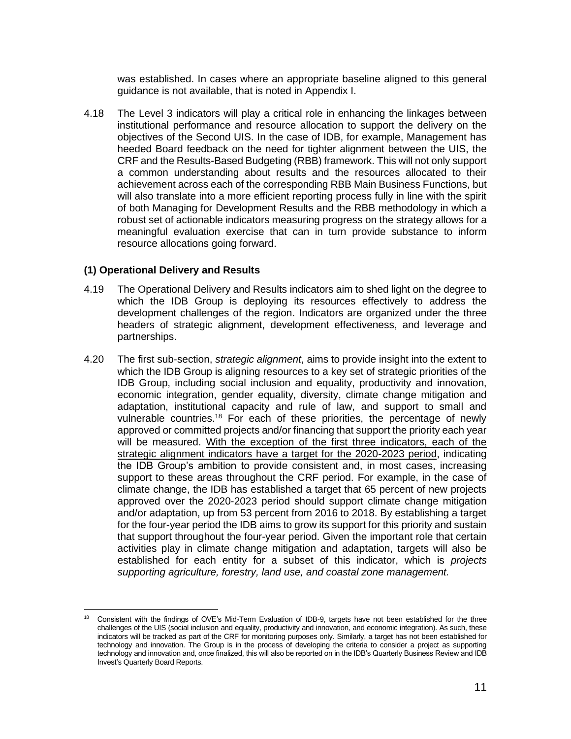was established. In cases where an appropriate baseline aligned to this general guidance is not available, that is noted in Appendix I.

4.18 The Level 3 indicators will play a critical role in enhancing the linkages between institutional performance and resource allocation to support the delivery on the objectives of the Second UIS. In the case of IDB, for example, Management has heeded Board feedback on the need for tighter alignment between the UIS, the CRF and the Results-Based Budgeting (RBB) framework. This will not only support a common understanding about results and the resources allocated to their achievement across each of the corresponding RBB Main Business Functions, but will also translate into a more efficient reporting process fully in line with the spirit of both Managing for Development Results and the RBB methodology in which a robust set of actionable indicators measuring progress on the strategy allows for a meaningful evaluation exercise that can in turn provide substance to inform resource allocations going forward.

#### **(1) Operational Delivery and Results**

- 4.19 The Operational Delivery and Results indicators aim to shed light on the degree to which the IDB Group is deploying its resources effectively to address the development challenges of the region. Indicators are organized under the three headers of strategic alignment, development effectiveness, and leverage and partnerships.
- 4.20 The first sub-section, *strategic alignment*, aims to provide insight into the extent to which the IDB Group is aligning resources to a key set of strategic priorities of the IDB Group, including social inclusion and equality, productivity and innovation, economic integration, gender equality, diversity, climate change mitigation and adaptation, institutional capacity and rule of law, and support to small and vulnerable countries.<sup>18</sup> For each of these priorities, the percentage of newly approved or committed projects and/or financing that support the priority each year will be measured. With the exception of the first three indicators, each of the strategic alignment indicators have a target for the 2020-2023 period, indicating the IDB Group's ambition to provide consistent and, in most cases, increasing support to these areas throughout the CRF period. For example, in the case of climate change, the IDB has established a target that 65 percent of new projects approved over the 2020-2023 period should support climate change mitigation and/or adaptation, up from 53 percent from 2016 to 2018. By establishing a target for the four-year period the IDB aims to grow its support for this priority and sustain that support throughout the four-year period. Given the important role that certain activities play in climate change mitigation and adaptation, targets will also be established for each entity for a subset of this indicator, which is *projects supporting agriculture, forestry, land use, and coastal zone management.*

<sup>&</sup>lt;sup>18</sup> Consistent with the findings of OVE's Mid-Term Evaluation of IDB-9, targets have not been established for the three challenges of the UIS (social inclusion and equality, productivity and innovation, and economic integration). As such, these indicators will be tracked as part of the CRF for monitoring purposes only. Similarly, a target has not been established for technology and innovation. The Group is in the process of developing the criteria to consider a project as supporting technology and innovation and, once finalized, this will also be reported on in the IDB's Quarterly Business Review and IDB Invest's Quarterly Board Reports.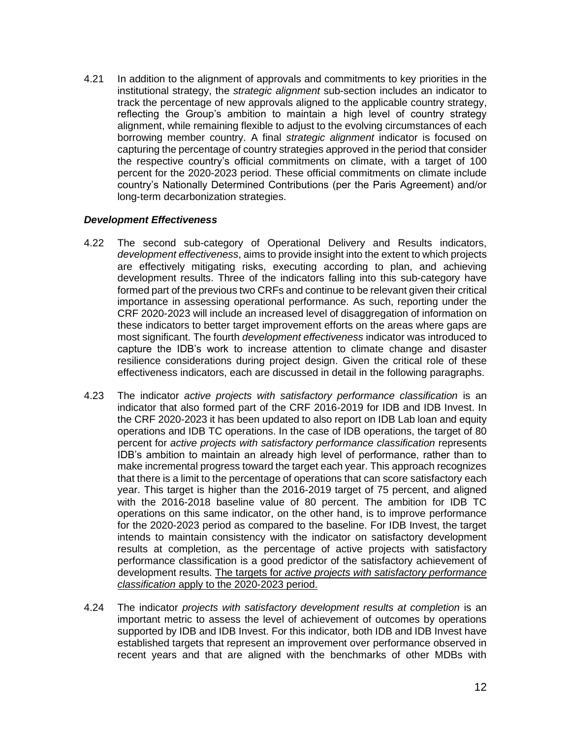4.21 In addition to the alignment of approvals and commitments to key priorities in the institutional strategy, the *strategic alignment* sub-section includes an indicator to track the percentage of new approvals aligned to the applicable country strategy, reflecting the Group's ambition to maintain a high level of country strategy alignment, while remaining flexible to adjust to the evolving circumstances of each borrowing member country. A final *strategic alignment* indicator is focused on capturing the percentage of country strategies approved in the period that consider the respective country's official commitments on climate, with a target of 100 percent for the 2020-2023 period. These official commitments on climate include country's Nationally Determined Contributions (per the Paris Agreement) and/or long-term decarbonization strategies.

#### *Development Effectiveness*

- 4.22 The second sub-category of Operational Delivery and Results indicators, *development effectiveness*, aims to provide insight into the extent to which projects are effectively mitigating risks, executing according to plan, and achieving development results. Three of the indicators falling into this sub-category have formed part of the previous two CRFs and continue to be relevant given their critical importance in assessing operational performance. As such, reporting under the CRF 2020-2023 will include an increased level of disaggregation of information on these indicators to better target improvement efforts on the areas where gaps are most significant. The fourth *development effectiveness* indicator was introduced to capture the IDB's work to increase attention to climate change and disaster resilience considerations during project design. Given the critical role of these effectiveness indicators, each are discussed in detail in the following paragraphs.
- 4.23 The indicator *active projects with satisfactory performance classification* is an indicator that also formed part of the CRF 2016-2019 for IDB and IDB Invest. In the CRF 2020-2023 it has been updated to also report on IDB Lab loan and equity operations and IDB TC operations. In the case of IDB operations, the target of 80 percent for *active projects with satisfactory performance classification* represents IDB's ambition to maintain an already high level of performance, rather than to make incremental progress toward the target each year. This approach recognizes that there is a limit to the percentage of operations that can score satisfactory each year. This target is higher than the 2016-2019 target of 75 percent, and aligned with the 2016-2018 baseline value of 80 percent. The ambition for IDB TC operations on this same indicator, on the other hand, is to improve performance for the 2020-2023 period as compared to the baseline. For IDB Invest, the target intends to maintain consistency with the indicator on satisfactory development results at completion, as the percentage of active projects with satisfactory performance classification is a good predictor of the satisfactory achievement of development results. The targets for *active projects with satisfactory performance classification* apply to the 2020-2023 period.
- 4.24 The indicator *projects with satisfactory development results at completion* is an important metric to assess the level of achievement of outcomes by operations supported by IDB and IDB Invest. For this indicator, both IDB and IDB Invest have established targets that represent an improvement over performance observed in recent years and that are aligned with the benchmarks of other MDBs with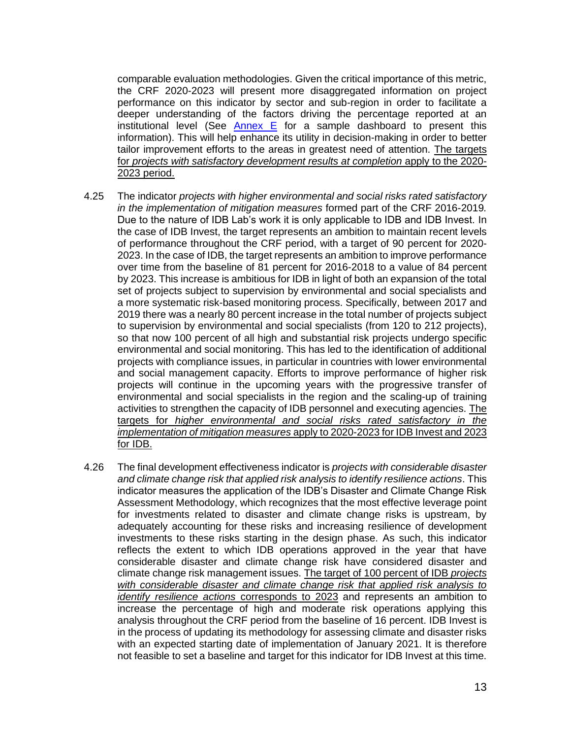comparable evaluation methodologies. Given the critical importance of this metric, the CRF 2020-2023 will present more disaggregated information on project performance on this indicator by sector and sub-region in order to facilitate a deeper understanding of the factors driving the percentage reported at an institutional level (See Annex  $E$  for a sample dashboard to present this information). This will help enhance its utility in decision-making in order to better tailor improvement efforts to the areas in greatest need of attention. The targets for *projects with satisfactory development results at completion* apply to the 2020- 2023 period.

- 4.25 The indicator *projects with higher environmental and social risks rated satisfactory in the implementation of mitigation measures* formed part of the CRF 2016-2019*.*  Due to the nature of IDB Lab's work it is only applicable to IDB and IDB Invest. In the case of IDB Invest, the target represents an ambition to maintain recent levels of performance throughout the CRF period, with a target of 90 percent for 2020- 2023. In the case of IDB, the target represents an ambition to improve performance over time from the baseline of 81 percent for 2016-2018 to a value of 84 percent by 2023. This increase is ambitious for IDB in light of both an expansion of the total set of projects subject to supervision by environmental and social specialists and a more systematic risk-based monitoring process. Specifically, between 2017 and 2019 there was a nearly 80 percent increase in the total number of projects subject to supervision by environmental and social specialists (from 120 to 212 projects), so that now 100 percent of all high and substantial risk projects undergo specific environmental and social monitoring. This has led to the identification of additional projects with compliance issues, in particular in countries with lower environmental and social management capacity. Efforts to improve performance of higher risk projects will continue in the upcoming years with the progressive transfer of environmental and social specialists in the region and the scaling-up of training activities to strengthen the capacity of IDB personnel and executing agencies. The targets for *higher environmental and social risks rated satisfactory in the implementation of mitigation measures* apply to 2020-2023 for IDB Invest and 2023 for IDB.
- 4.26 The final development effectiveness indicator is *projects with considerable disaster and climate change risk that applied risk analysis to identify resilience actions*. This indicator measures the application of the IDB's Disaster and Climate Change Risk Assessment Methodology, which recognizes that the most effective leverage point for investments related to disaster and climate change risks is upstream, by adequately accounting for these risks and increasing resilience of development investments to these risks starting in the design phase. As such, this indicator reflects the extent to which IDB operations approved in the year that have considerable disaster and climate change risk have considered disaster and climate change risk management issues. The target of 100 percent of IDB *projects with considerable disaster and climate change risk that applied risk analysis to identify resilience actions* corresponds to 2023 and represents an ambition to increase the percentage of high and moderate risk operations applying this analysis throughout the CRF period from the baseline of 16 percent. IDB Invest is in the process of updating its methodology for assessing climate and disaster risks with an expected starting date of implementation of January 2021. It is therefore not feasible to set a baseline and target for this indicator for IDB Invest at this time.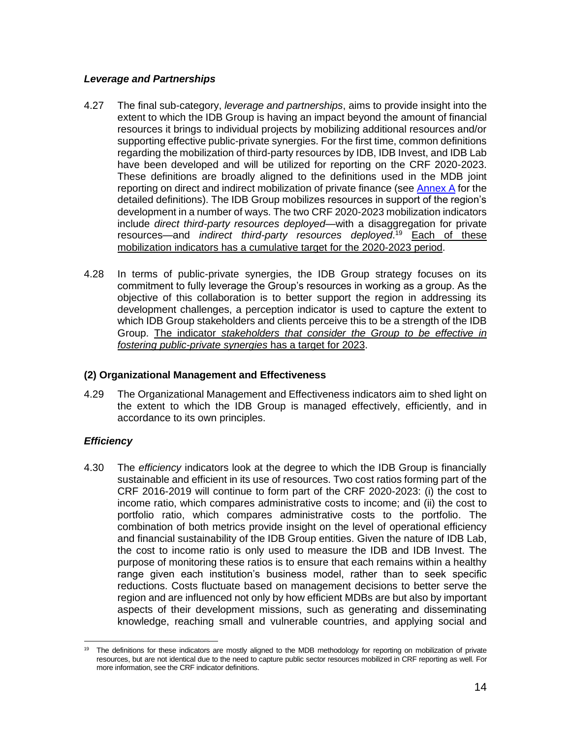## *Leverage and Partnerships*

- 4.27 The final sub-category, *leverage and partnerships*, aims to provide insight into the extent to which the IDB Group is having an impact beyond the amount of financial resources it brings to individual projects by mobilizing additional resources and/or supporting effective public-private synergies. For the first time, common definitions regarding the mobilization of third-party resources by IDB, IDB Invest, and IDB Lab have been developed and will be utilized for reporting on the CRF 2020-2023. These definitions are broadly aligned to the definitions used in the MDB joint reporting on direct and indirect mobilization of private finance (see [Annex A](https://idbg.sharepoint.com/:b:/s/CRF2020-2023/EeqsamRyiRhEhQ0dFbeJvwoBcEeOyFmNyXHQQccXlmoFfQ) for the detailed definitions). The IDB Group mobilizes resources in support of the region's development in a number of ways. The two CRF 2020-2023 mobilization indicators include *direct third-party resources deployed*—with a disaggregation for private resources—and *indirect third-party resources deployed*. <sup>19</sup> Each of these mobilization indicators has a cumulative target for the 2020-2023 period.
- 4.28 In terms of public-private synergies, the IDB Group strategy focuses on its commitment to fully leverage the Group's resources in working as a group. As the objective of this collaboration is to better support the region in addressing its development challenges, a perception indicator is used to capture the extent to which IDB Group stakeholders and clients perceive this to be a strength of the IDB Group. The indicator *stakeholders that consider the Group to be effective in fostering public-private synergies* has a target for 2023.

## **(2) Organizational Management and Effectiveness**

4.29 The Organizational Management and Effectiveness indicators aim to shed light on the extent to which the IDB Group is managed effectively, efficiently, and in accordance to its own principles.

# *Efficiency*

4.30 The *efficiency* indicators look at the degree to which the IDB Group is financially sustainable and efficient in its use of resources. Two cost ratios forming part of the CRF 2016-2019 will continue to form part of the CRF 2020-2023: (i) the cost to income ratio, which compares administrative costs to income; and (ii) the cost to portfolio ratio, which compares administrative costs to the portfolio. The combination of both metrics provide insight on the level of operational efficiency and financial sustainability of the IDB Group entities. Given the nature of IDB Lab, the cost to income ratio is only used to measure the IDB and IDB Invest. The purpose of monitoring these ratios is to ensure that each remains within a healthy range given each institution's business model, rather than to seek specific reductions. Costs fluctuate based on management decisions to better serve the region and are influenced not only by how efficient MDBs are but also by important aspects of their development missions, such as generating and disseminating knowledge, reaching small and vulnerable countries, and applying social and

<sup>19</sup> The definitions for these indicators are mostly aligned to the MDB methodology for reporting on mobilization of private resources, but are not identical due to the need to capture public sector resources mobilized in CRF reporting as well. For more information, see the CRF indicator definitions.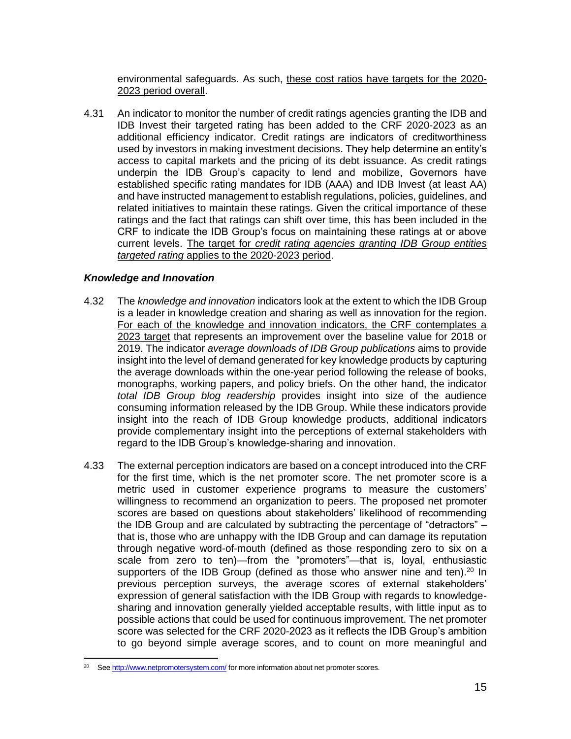environmental safeguards. As such, these cost ratios have targets for the 2020- 2023 period overall.

4.31 An indicator to monitor the number of credit ratings agencies granting the IDB and IDB Invest their targeted rating has been added to the CRF 2020-2023 as an additional efficiency indicator. Credit ratings are indicators of creditworthiness used by investors in making investment decisions. They help determine an entity's access to capital markets and the pricing of its debt issuance. As credit ratings underpin the IDB Group's capacity to lend and mobilize, Governors have established specific rating mandates for IDB (AAA) and IDB Invest (at least AA) and have instructed management to establish regulations, policies, guidelines, and related initiatives to maintain these ratings. Given the critical importance of these ratings and the fact that ratings can shift over time, this has been included in the CRF to indicate the IDB Group's focus on maintaining these ratings at or above current levels. The target for *credit rating agencies granting IDB Group entities targeted rating* applies to the 2020-2023 period.

#### *Knowledge and Innovation*

- 4.32 The *knowledge and innovation* indicators look at the extent to which the IDB Group is a leader in knowledge creation and sharing as well as innovation for the region. For each of the knowledge and innovation indicators, the CRF contemplates a 2023 target that represents an improvement over the baseline value for 2018 or 2019. The indicator *average downloads of IDB Group publications* aims to provide insight into the level of demand generated for key knowledge products by capturing the average downloads within the one-year period following the release of books, monographs, working papers, and policy briefs. On the other hand, the indicator *total IDB Group blog readership* provides insight into size of the audience consuming information released by the IDB Group. While these indicators provide insight into the reach of IDB Group knowledge products, additional indicators provide complementary insight into the perceptions of external stakeholders with regard to the IDB Group's knowledge-sharing and innovation.
- 4.33 The external perception indicators are based on a concept introduced into the CRF for the first time, which is the net promoter score. The net promoter score is a metric used in customer experience programs to measure the customers' willingness to recommend an organization to peers. The proposed net promoter scores are based on questions about stakeholders' likelihood of recommending the IDB Group and are calculated by subtracting the percentage of "detractors" – that is, those who are unhappy with the IDB Group and can damage its reputation through negative word-of-mouth (defined as those responding zero to six on a scale from zero to ten)—from the "promoters"—that is, loyal, enthusiastic supporters of the IDB Group (defined as those who answer nine and ten).<sup>20</sup> In previous perception surveys, the average scores of external stakeholders' expression of general satisfaction with the IDB Group with regards to knowledgesharing and innovation generally yielded acceptable results, with little input as to possible actions that could be used for continuous improvement. The net promoter score was selected for the CRF 2020-2023 as it reflects the IDB Group's ambition to go beyond simple average scores, and to count on more meaningful and

Se[e http://www.netpromotersystem.com/](http://www.netpromotersystem.com/) for more information about net promoter scores.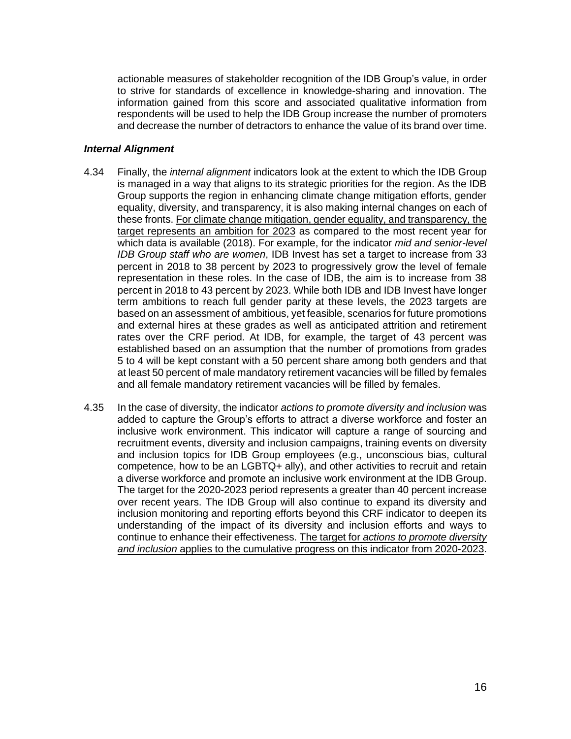actionable measures of stakeholder recognition of the IDB Group's value, in order to strive for standards of excellence in knowledge-sharing and innovation. The information gained from this score and associated qualitative information from respondents will be used to help the IDB Group increase the number of promoters and decrease the number of detractors to enhance the value of its brand over time.

#### *Internal Alignment*

- 4.34 Finally, the *internal alignment* indicators look at the extent to which the IDB Group is managed in a way that aligns to its strategic priorities for the region. As the IDB Group supports the region in enhancing climate change mitigation efforts, gender equality, diversity, and transparency, it is also making internal changes on each of these fronts. For climate change mitigation, gender equality, and transparency, the target represents an ambition for 2023 as compared to the most recent year for which data is available (2018). For example, for the indicator *mid and senior-level IDB Group staff who are women*, IDB Invest has set a target to increase from 33 percent in 2018 to 38 percent by 2023 to progressively grow the level of female representation in these roles. In the case of IDB, the aim is to increase from 38 percent in 2018 to 43 percent by 2023. While both IDB and IDB Invest have longer term ambitions to reach full gender parity at these levels, the 2023 targets are based on an assessment of ambitious, yet feasible, scenarios for future promotions and external hires at these grades as well as anticipated attrition and retirement rates over the CRF period. At IDB, for example, the target of 43 percent was established based on an assumption that the number of promotions from grades 5 to 4 will be kept constant with a 50 percent share among both genders and that at least 50 percent of male mandatory retirement vacancies will be filled by females and all female mandatory retirement vacancies will be filled by females.
- 4.35 In the case of diversity, the indicator *actions to promote diversity and inclusion* was added to capture the Group's efforts to attract a diverse workforce and foster an inclusive work environment. This indicator will capture a range of sourcing and recruitment events, diversity and inclusion campaigns, training events on diversity and inclusion topics for IDB Group employees (e.g., unconscious bias, cultural competence, how to be an LGBTQ+ ally), and other activities to recruit and retain a diverse workforce and promote an inclusive work environment at the IDB Group. The target for the 2020-2023 period represents a greater than 40 percent increase over recent years. The IDB Group will also continue to expand its diversity and inclusion monitoring and reporting efforts beyond this CRF indicator to deepen its understanding of the impact of its diversity and inclusion efforts and ways to continue to enhance their effectiveness. The target for *actions to promote diversity and inclusion* applies to the cumulative progress on this indicator from 2020-2023.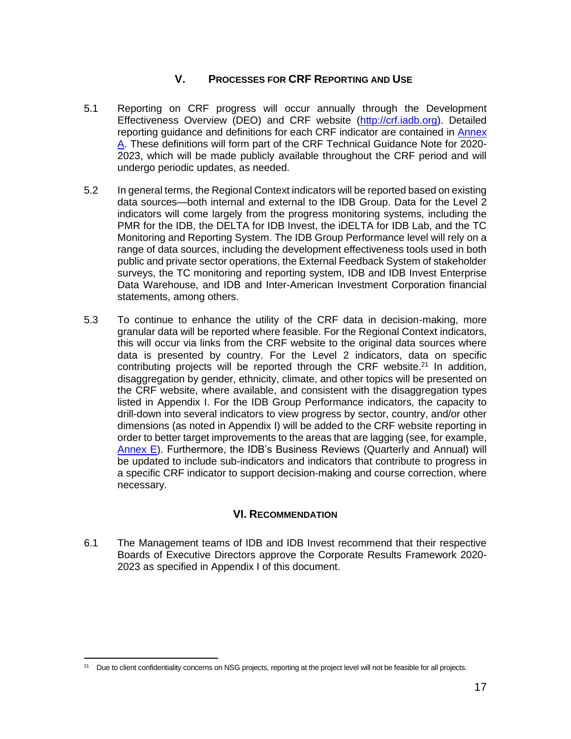# **V. PROCESSES FOR CRF REPORTING AND USE**

- <span id="page-19-0"></span>5.1 Reporting on CRF progress will occur annually through the Development Effectiveness Overview (DEO) and CRF website [\(http://crf.iadb.org\)](http://crf.iadb.org/). Detailed reporting guidance and definitions for each CRF indicator are contained in [Annex](https://idbg.sharepoint.com/:b:/s/CRF2020-2023/EeqsamRyiRhEhQ0dFbeJvwoBcEeOyFmNyXHQQccXlmoFfQ)  [A.](https://idbg.sharepoint.com/:b:/s/CRF2020-2023/EeqsamRyiRhEhQ0dFbeJvwoBcEeOyFmNyXHQQccXlmoFfQ) These definitions will form part of the CRF Technical Guidance Note for 2020- 2023, which will be made publicly available throughout the CRF period and will undergo periodic updates, as needed.
- 5.2 In general terms, the Regional Context indicators will be reported based on existing data sources—both internal and external to the IDB Group. Data for the Level 2 indicators will come largely from the progress monitoring systems, including the PMR for the IDB, the DELTA for IDB Invest, the iDELTA for IDB Lab, and the TC Monitoring and Reporting System. The IDB Group Performance level will rely on a range of data sources, including the development effectiveness tools used in both public and private sector operations, the External Feedback System of stakeholder surveys, the TC monitoring and reporting system, IDB and IDB Invest Enterprise Data Warehouse, and IDB and Inter-American Investment Corporation financial statements, among others.
- 5.3 To continue to enhance the utility of the CRF data in decision-making, more granular data will be reported where feasible. For the Regional Context indicators, this will occur via links from the CRF website to the original data sources where data is presented by country. For the Level 2 indicators, data on specific contributing projects will be reported through the CRF website.<sup>21</sup> In addition, disaggregation by gender, ethnicity, climate, and other topics will be presented on the CRF website, where available, and consistent with the disaggregation types listed in Appendix I. For the IDB Group Performance indicators, the capacity to drill-down into several indicators to view progress by sector, country, and/or other dimensions (as noted in Appendix I) will be added to the CRF website reporting in order to better target improvements to the areas that are lagging (see, for example, [Annex E\)](https://idbg.sharepoint.com/:b:/s/CRF2020-2023/EY-6F30-z45KgzsVBwS4c_sB08VUMz_uoMRwmxJyX2xG5w). Furthermore, the IDB's Business Reviews (Quarterly and Annual) will be updated to include sub-indicators and indicators that contribute to progress in a specific CRF indicator to support decision-making and course correction, where necessary.

# **VI. RECOMMENDATION**

<span id="page-19-1"></span>6.1 The Management teams of IDB and IDB Invest recommend that their respective Boards of Executive Directors approve the Corporate Results Framework 2020- 2023 as specified in Appendix I of this document.

<sup>&</sup>lt;sup>21</sup> Due to client confidentiality concerns on NSG projects, reporting at the project level will not be feasible for all projects.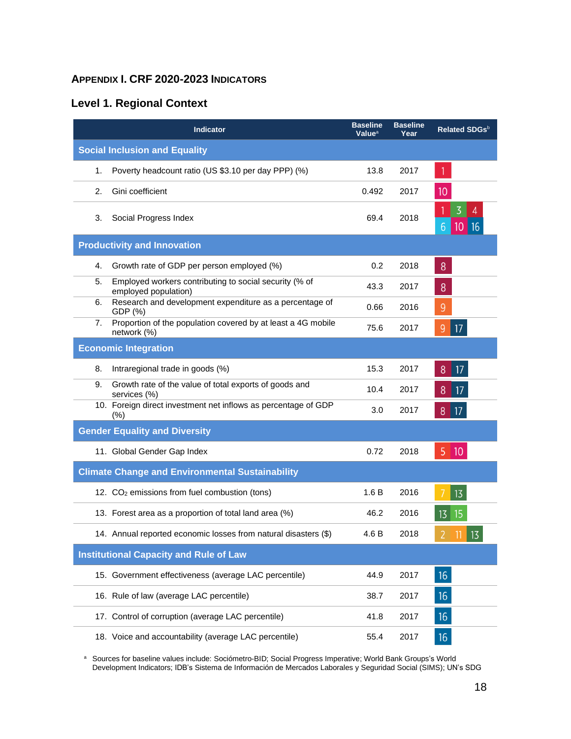# <span id="page-20-0"></span>**APPENDIX I. CRF 2020-2023 INDICATORS**

# **Level 1. Regional Context**

|                                      | <b>Indicator</b>                                                               | <b>Baseline</b><br>Value <sup>a</sup> | <b>Baseline</b><br>Year | Related SDGsb                         |
|--------------------------------------|--------------------------------------------------------------------------------|---------------------------------------|-------------------------|---------------------------------------|
| <b>Social Inclusion and Equality</b> |                                                                                |                                       |                         |                                       |
| 1.                                   | Poverty headcount ratio (US \$3.10 per day PPP) (%)                            | 13.8                                  | 2017                    |                                       |
| 2.                                   | Gini coefficient                                                               | 0.492                                 | 2017                    | 10                                    |
| 3.                                   | Social Progress Index                                                          | 69.4                                  | 2018                    | 3<br>4<br>$10$ 16<br>$6 \overline{6}$ |
|                                      | <b>Productivity and Innovation</b>                                             |                                       |                         |                                       |
| 4.                                   | Growth rate of GDP per person employed (%)                                     | 0.2                                   | 2018                    | 8                                     |
| 5.                                   | Employed workers contributing to social security (% of<br>employed population) | 43.3                                  | 2017                    | 8                                     |
| 6.                                   | Research and development expenditure as a percentage of<br>GDP (%)             | 0.66                                  | 2016                    | 9                                     |
| 7.                                   | Proportion of the population covered by at least a 4G mobile<br>network (%)    | 75.6                                  | 2017                    | 17<br>9                               |
|                                      | <b>Economic Integration</b>                                                    |                                       |                         |                                       |
| 8.                                   | Intraregional trade in goods (%)                                               | 15.3                                  | 2017                    | 17<br>8                               |
| 9.                                   | Growth rate of the value of total exports of goods and<br>services (%)         | 10.4                                  | 2017                    | 8<br>17                               |
|                                      | 10. Foreign direct investment net inflows as percentage of GDP<br>(%)          | 3.0                                   | 2017                    | 17 <br>8                              |
|                                      | <b>Gender Equality and Diversity</b>                                           |                                       |                         |                                       |
|                                      | 11. Global Gender Gap Index                                                    | 0.72                                  | 2018                    | 5<br>$ 10\rangle$                     |
|                                      | <b>Climate Change and Environmental Sustainability</b>                         |                                       |                         |                                       |
|                                      | 12. CO <sub>2</sub> emissions from fuel combustion (tons)                      | 1.6B                                  | 2016                    | 13                                    |
|                                      | 13. Forest area as a proportion of total land area (%)                         | 46.2                                  | 2016                    | $13 \mid 15$                          |
|                                      | 14. Annual reported economic losses from natural disasters (\$)                | 4.6 B                                 | 2018                    | $13 \overline{)}$                     |
|                                      | <b>Institutional Capacity and Rule of Law</b>                                  |                                       |                         |                                       |
|                                      | 15. Government effectiveness (average LAC percentile)                          | 44.9                                  | 2017                    | 16                                    |
|                                      | 16. Rule of law (average LAC percentile)                                       | 38.7                                  | 2017                    | 16                                    |
|                                      | 17. Control of corruption (average LAC percentile)                             | 41.8                                  | 2017                    | 16                                    |
|                                      | 18. Voice and accountability (average LAC percentile)                          | 55.4                                  | 2017                    | 16                                    |

a Sources for baseline values include: Sociómetro-BID; Social Progress Imperative; World Bank Groups's World Development Indicators; IDB's Sistema de Información de Mercados Laborales y Seguridad Social (SIMS); UN's SDG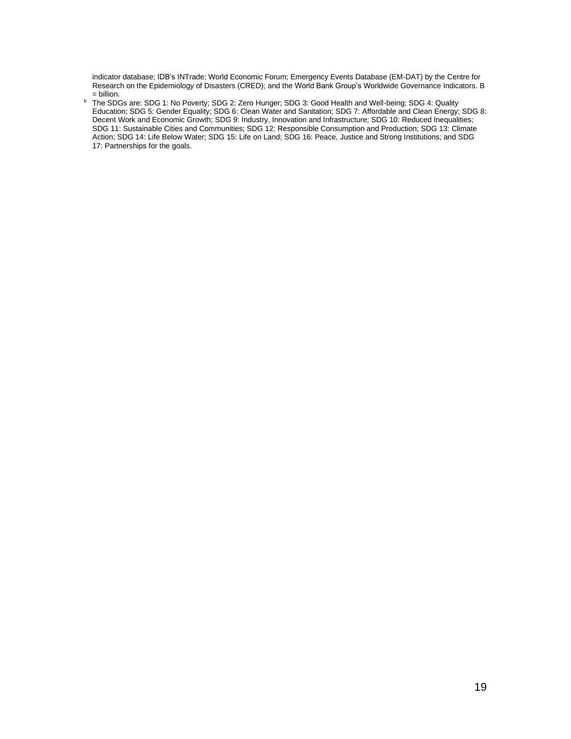indicator database; IDB's INTrade; World Economic Forum; Emergency Events Database (EM-DAT) by the Centre for Research on the Epidemiology of Disasters (CRED); and the World Bank Group's Worldwide Governance Indicators. B = billion.

b The SDGs are: SDG 1: No Poverty; SDG 2: Zero Hunger; SDG 3: Good Health and Well-being; SDG 4: Quality Education; SDG 5: Gender Equality; SDG 6: Clean Water and Sanitation; SDG 7: Affordable and Clean Energy; SDG 8: Decent Work and Economic Growth; SDG 9: Industry, Innovation and Infrastructure; SDG 10: Reduced Inequalities; SDG 11: Sustainable Cities and Communities; SDG 12: Responsible Consumption and Production; SDG 13: Climate Action; SDG 14: Life Below Water; SDG 15: Life on Land; SDG 16: Peace, Justice and Strong Institutions; and SDG 17: Partnerships for the goals.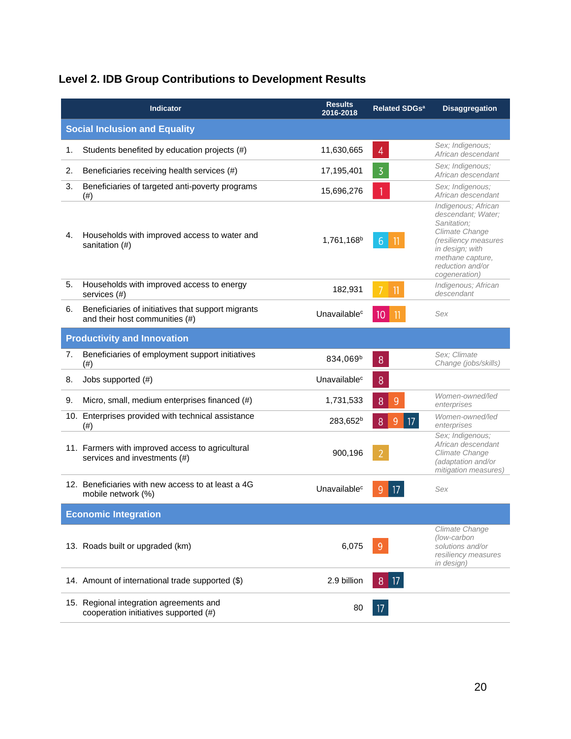# **Level 2. IDB Group Contributions to Development Results**

|    | <b>Indicator</b>                                                                     | <b>Results</b><br>2016-2018 | <b>Related SDGs<sup>a</sup></b> | <b>Disaggregation</b>                                                                                                                                                          |
|----|--------------------------------------------------------------------------------------|-----------------------------|---------------------------------|--------------------------------------------------------------------------------------------------------------------------------------------------------------------------------|
|    | <b>Social Inclusion and Equality</b>                                                 |                             |                                 |                                                                                                                                                                                |
| 1. | Students benefited by education projects (#)                                         | 11,630,665                  | $\overline{4}$                  | Sex; Indigenous;<br>African descendant                                                                                                                                         |
| 2. | Beneficiaries receiving health services (#)                                          | 17,195,401                  | $\overline{3}$                  | Sex; Indigenous;<br>African descendant                                                                                                                                         |
| 3. | Beneficiaries of targeted anti-poverty programs<br>(# )                              | 15,696,276                  |                                 | Sex; Indigenous;<br>African descendant                                                                                                                                         |
| 4. | Households with improved access to water and<br>sanitation (#)                       | 1,761,168 <sup>b</sup>      | 6 <sup>1</sup>                  | Indigenous; African<br>descendant; Water;<br>Sanitation;<br>Climate Change<br>(resiliency measures<br>in design; with<br>methane capture,<br>reduction and/or<br>cogeneration) |
| 5. | Households with improved access to energy<br>services (#)                            | 182,931                     | 7<br>11                         | Indigenous; African<br>descendant                                                                                                                                              |
| 6. | Beneficiaries of initiatives that support migrants<br>and their host communities (#) | Unavailable <sup>c</sup>    | 10 <sup>°</sup>                 | Sex                                                                                                                                                                            |
|    | <b>Productivity and Innovation</b>                                                   |                             |                                 |                                                                                                                                                                                |
| 7. | Beneficiaries of employment support initiatives<br>(# )                              | 834,069 <sup>b</sup>        | 8                               | Sex: Climate<br>Change (jobs/skills)                                                                                                                                           |
| 8. | Jobs supported (#)                                                                   | Unavailable <sup>c</sup>    | 8                               |                                                                                                                                                                                |
| 9. | Micro, small, medium enterprises financed (#)                                        | 1,731,533                   | 8<br>9                          | Women-owned/led<br>enterprises                                                                                                                                                 |
|    | 10. Enterprises provided with technical assistance<br>(#)                            | 283,652 <sup>b</sup>        | $\overline{9}$<br>17<br>8       | Women-owned/led<br>enterprises                                                                                                                                                 |
|    | 11. Farmers with improved access to agricultural<br>services and investments (#)     | 900,196                     |                                 | Sex; Indigenous;<br>African descendant<br>Climate Change<br>(adaptation and/or<br>mitigation measures)                                                                         |
|    | 12. Beneficiaries with new access to at least a 4G<br>mobile network (%)             | Unavailable <sup>c</sup>    |                                 | Sex                                                                                                                                                                            |
|    | <b>Economic Integration</b>                                                          |                             |                                 |                                                                                                                                                                                |
|    | 13. Roads built or upgraded (km)                                                     | 6,075                       |                                 | Climate Change<br>(low-carbon<br>solutions and/or<br>resiliency measures<br>in design)                                                                                         |
|    | 14. Amount of international trade supported (\$)                                     | 2.9 billion                 | 17<br>8                         |                                                                                                                                                                                |
|    | 15. Regional integration agreements and<br>cooperation initiatives supported (#)     | 80                          |                                 |                                                                                                                                                                                |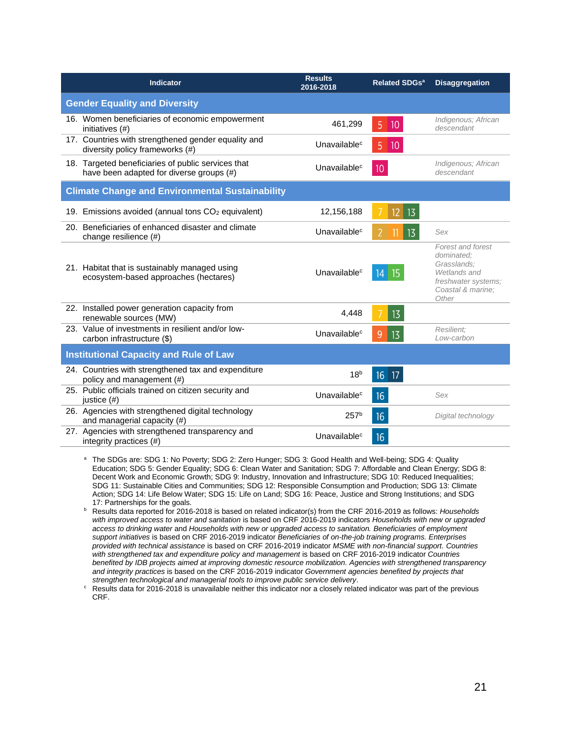| <b>Indicator</b>                                                                               | <b>Results</b><br>2016-2018 | <b>Related SDGs<sup>a</sup></b> | <b>Disaggregation</b>                                                                                               |
|------------------------------------------------------------------------------------------------|-----------------------------|---------------------------------|---------------------------------------------------------------------------------------------------------------------|
| <b>Gender Equality and Diversity</b>                                                           |                             |                                 |                                                                                                                     |
| 16. Women beneficiaries of economic empowerment<br>initiatives (#)                             | 461,299                     | 5<br>10                         | Indigenous; African<br>descendant                                                                                   |
| 17. Countries with strengthened gender equality and<br>diversity policy frameworks (#)         | Unavailable <sup>c</sup>    | 5<br>10                         |                                                                                                                     |
| 18. Targeted beneficiaries of public services that<br>have been adapted for diverse groups (#) | Unavailable <sup>c</sup>    | $10 \,$                         | Indigenous; African<br>descendant                                                                                   |
| <b>Climate Change and Environmental Sustainability</b>                                         |                             |                                 |                                                                                                                     |
| 19. Emissions avoided (annual tons CO <sub>2</sub> equivalent)                                 | 12,156,188                  | 13<br>12 <sup>°</sup>           |                                                                                                                     |
| 20. Beneficiaries of enhanced disaster and climate<br>change resilience (#)                    | Unavailable <sup>c</sup>    | 13                              | Sex                                                                                                                 |
| 21. Habitat that is sustainably managed using<br>ecosystem-based approaches (hectares)         | Unavailable <sup>c</sup>    | $14 \mid 15$                    | Forest and forest<br>dominated:<br>Grasslands:<br>Wetlands and<br>freshwater systems:<br>Coastal & marine:<br>Other |
| 22. Installed power generation capacity from<br>renewable sources (MW)                         | 4,448                       | 13                              |                                                                                                                     |
| 23. Value of investments in resilient and/or low-<br>carbon infrastructure (\$)                | Unavailable <sup>c</sup>    | 9<br>13                         | Resilient:<br>Low-carbon                                                                                            |
| <b>Institutional Capacity and Rule of Law</b>                                                  |                             |                                 |                                                                                                                     |
| 24. Countries with strengthened tax and expenditure<br>policy and management (#)               | 18 <sup>b</sup>             | $16$ 17                         |                                                                                                                     |
| 25. Public officials trained on citizen security and<br>justice (#)                            | Unavailable <sup>c</sup>    | 16                              | Sex                                                                                                                 |
| 26. Agencies with strengthened digital technology<br>and managerial capacity (#)               | 257 <sup>b</sup>            | 16                              | Digital technology                                                                                                  |
| 27. Agencies with strengthened transparency and<br>integrity practices (#)                     | Unavailable <sup>c</sup>    | 16                              |                                                                                                                     |

a The SDGs are: SDG 1: No Poverty; SDG 2: Zero Hunger; SDG 3: Good Health and Well-being; SDG 4: Quality Education; SDG 5: Gender Equality; SDG 6: Clean Water and Sanitation; SDG 7: Affordable and Clean Energy; SDG 8: Decent Work and Economic Growth; SDG 9: Industry, Innovation and Infrastructure; SDG 10: Reduced Inequalities; SDG 11: Sustainable Cities and Communities; SDG 12: Responsible Consumption and Production; SDG 13: Climate Action; SDG 14: Life Below Water; SDG 15: Life on Land; SDG 16: Peace, Justice and Strong Institutions; and SDG 17: Partnerships for the goals.

<sup>b</sup> Results data reported for 2016-2018 is based on related indicator(s) from the CRF 2016-2019 as follows: *Households with improved access to water and sanitation* is based on CRF 2016-2019 indicators *Households with new or upgraded access to drinking water* and *Households with new or upgraded access to sanitation. Beneficiaries of employment support initiatives* is based on CRF 2016-2019 indicator *Beneficiaries of on-the-job training programs. Enterprises provided with technical assistance* is based on CRF 2016-2019 indicator *MSME with non-financial support. Countries with strengthened tax and expenditure policy and management* is based on CRF 2016-2019 indicator *Countries benefited by IDB projects aimed at improving domestic resource mobilization. Agencies with strengthened transparency and integrity practices* is based on the CRF 2016-2019 indicator *Government agencies benefited by projects that strengthen technological and managerial tools to improve public service delivery*.

<sup>c</sup> Results data for 2016-2018 is unavailable neither this indicator nor a closely related indicator was part of the previous CRF.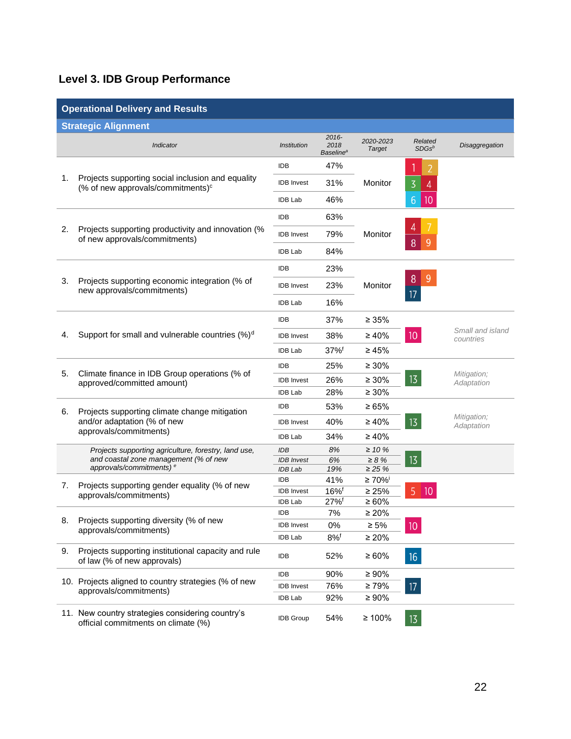# **Level 3. IDB Group Performance**

| <b>Operational Delivery and Results</b> |                                                                                                    |                                     |                                                  |                                  |                      |                               |
|-----------------------------------------|----------------------------------------------------------------------------------------------------|-------------------------------------|--------------------------------------------------|----------------------------------|----------------------|-------------------------------|
|                                         | <b>Strategic Alignment</b>                                                                         |                                     |                                                  |                                  |                      |                               |
|                                         | Indicator                                                                                          | <i><b>Institution</b></i>           | $2016 -$<br>2018<br><b>Baseline</b> <sup>a</sup> | 2020-2023<br><b>Target</b>       | Related<br>$SDGs^b$  | <b>Disaggregation</b>         |
|                                         | Projects supporting social inclusion and equality<br>(% of new approvals/commitments) <sup>c</sup> | <b>IDB</b>                          | 47%                                              |                                  |                      |                               |
| 1.                                      |                                                                                                    | <b>IDB</b> Invest                   | 31%                                              | Monitor                          | 3<br>4               |                               |
|                                         |                                                                                                    | <b>IDB Lab</b>                      | 46%                                              |                                  | 10<br>$6\phantom{1}$ |                               |
|                                         |                                                                                                    | <b>IDB</b>                          | 63%                                              |                                  |                      |                               |
| 2.                                      | Projects supporting productivity and innovation (%<br>of new approvals/commitments)                | <b>IDB</b> Invest                   | 79%                                              | Monitor                          |                      |                               |
|                                         |                                                                                                    | <b>IDB Lab</b>                      | 84%                                              |                                  | 8<br>9               |                               |
|                                         |                                                                                                    | <b>IDB</b>                          | 23%                                              |                                  |                      |                               |
| 3.                                      | Projects supporting economic integration (% of<br>new approvals/commitments)                       | <b>IDB</b> Invest                   | 23%                                              | Monitor                          | 9<br>8               |                               |
|                                         |                                                                                                    | <b>IDB Lab</b>                      | 16%                                              |                                  | 17                   |                               |
|                                         |                                                                                                    | <b>IDB</b>                          | 37%                                              | ≥ 35%                            |                      | Small and island<br>countries |
| 4.                                      | Support for small and vulnerable countries (%) <sup>d</sup>                                        | <b>IDB</b> Invest                   | 38%                                              | $\geq 40\%$                      | 10                   |                               |
|                                         |                                                                                                    | <b>IDB Lab</b>                      | 37%f                                             | ≥ 45%                            |                      |                               |
|                                         |                                                                                                    | <b>IDB</b>                          | 25%                                              | $\geq 30\%$<br>$\geq 30\%$       |                      |                               |
| 5.                                      | Climate finance in IDB Group operations (% of<br>approved/committed amount)                        | <b>IDB</b> Invest                   | 26%                                              |                                  | 13                   | Mitigation;<br>Adaptation     |
|                                         |                                                                                                    | <b>IDB Lab</b>                      | 28%                                              | $\geq 30\%$                      |                      |                               |
| 6.                                      | Projects supporting climate change mitigation                                                      | <b>IDB</b>                          | 53%                                              | $\ge 65\%$                       |                      |                               |
|                                         | and/or adaptation (% of new                                                                        | <b>IDB</b> Invest                   | 40%                                              | $\geq 40\%$                      | 13                   | Mitigation;<br>Adaptation     |
|                                         | approvals/commitments)                                                                             | <b>IDB Lab</b>                      | 34%                                              | $\geq 40\%$                      |                      |                               |
|                                         | Projects supporting agriculture, forestry, land use,                                               | <b>IDB</b>                          | 8%                                               | $\geq 10 \%$                     |                      |                               |
|                                         | and coastal zone management (% of new<br>approvals/commitments) <sup>e</sup>                       | <b>IDB</b> Invest                   | 6%                                               | $\geq 8 \%$                      | 13                   |                               |
|                                         |                                                                                                    | <b>IDB</b> Lab<br><b>IDB</b>        | 19%<br>41%                                       | $\geq$ 25%<br>≥ 70% <sup>i</sup> |                      |                               |
| 7.                                      | Projects supporting gender equality (% of new                                                      |                                     |                                                  |                                  | 5<br>$\overline{10}$ |                               |
|                                         | approvals/commitments)                                                                             | <b>IDB</b> Invest<br><b>IDB Lab</b> | $16\%$ <sup>f</sup><br>27%f                      | $\geq 25\%$<br>$\geq 60\%$       |                      |                               |
|                                         |                                                                                                    | <b>IDB</b>                          | 7%                                               | $\geq 20\%$                      |                      |                               |
| 8.                                      | Projects supporting diversity (% of new                                                            | <b>IDB</b> Invest                   | 0%                                               | $\geq 5\%$                       | 10 <sup>°</sup>      |                               |
|                                         | approvals/commitments)                                                                             | <b>IDB Lab</b>                      | 8%                                               | $\geq 20\%$                      |                      |                               |
| 9.                                      | Projects supporting institutional capacity and rule<br>of law (% of new approvals)                 | IDB                                 | 52%                                              | $\geq 60\%$                      | 16                   |                               |
|                                         |                                                                                                    | IDB                                 | 90%                                              | $\geq 90\%$                      |                      |                               |
|                                         | 10. Projects aligned to country strategies (% of new                                               | <b>IDB</b> Invest                   | 76%                                              | $\geq 79\%$                      | 17                   |                               |
|                                         | approvals/commitments)                                                                             | <b>IDB Lab</b>                      | 92%                                              | $\geq 90\%$                      |                      |                               |
|                                         | 11. New country strategies considering country's<br>official commitments on climate (%)            | <b>IDB Group</b>                    | 54%                                              | $\geq 100\%$                     | 13                   |                               |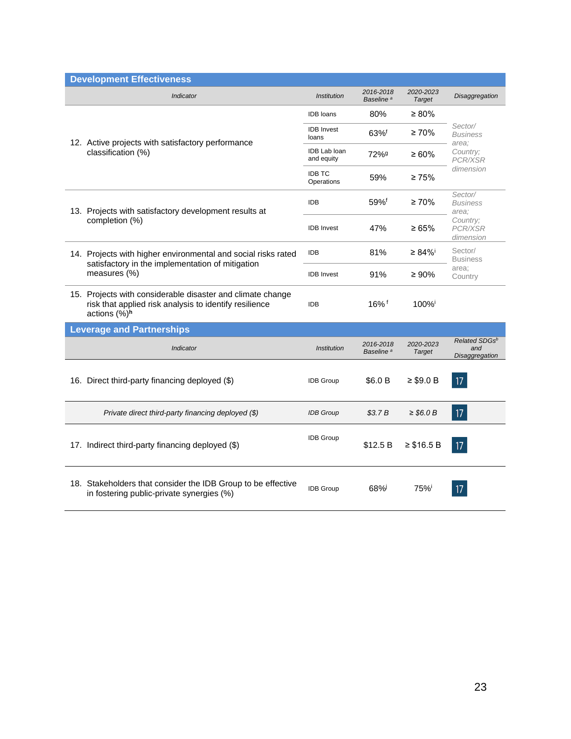| <b>Development Effectiveness</b>                                                                                                     |                                   |                                    |                            |                                         |  |
|--------------------------------------------------------------------------------------------------------------------------------------|-----------------------------------|------------------------------------|----------------------------|-----------------------------------------|--|
| Indicator                                                                                                                            | <i><b>Institution</b></i>         | 2016-2018<br>Baseline <sup>a</sup> | 2020-2023<br><b>Target</b> | Disaggregation                          |  |
|                                                                                                                                      | <b>IDB</b> loans                  | 80%                                | $\geq 80\%$                |                                         |  |
| 12. Active projects with satisfactory performance                                                                                    | <b>IDB</b> Invest<br>loans        | 63%f                               | $\geq 70\%$                | Sector/<br><b>Business</b><br>area:     |  |
| classification (%)                                                                                                                   | <b>IDB Lab loan</b><br>and equity | 72% <sup>g</sup>                   | $\geq 60\%$                | Country;<br>PCR/XSR                     |  |
|                                                                                                                                      | <b>IDB TC</b><br>Operations       | 59%                                | $\geq 75\%$                | dimension                               |  |
| 13. Projects with satisfactory development results at                                                                                | <b>IDB</b>                        | $59%$ <sup>f</sup>                 | $\geq 70\%$                | Sector/<br><b>Business</b><br>area:     |  |
| completion (%)                                                                                                                       | <b>IDB</b> Invest                 | 47%                                | ≥ 65%                      | Country:<br><b>PCR/XSR</b><br>dimension |  |
| 14. Projects with higher environmental and social risks rated                                                                        | <b>IDB</b>                        | 81%                                | ≥ 84% <sup>i</sup>         | Sector/<br><b>Business</b>              |  |
| satisfactory in the implementation of mitigation<br>measures (%)                                                                     | <b>IDB</b> Invest                 | 91%                                | $\geq 90\%$                | area;<br>Country                        |  |
| 15. Projects with considerable disaster and climate change<br>risk that applied risk analysis to identify resilience<br>actions (%)h | <b>IDB</b>                        | $16\%$ <sup>f</sup>                | 100%                       |                                         |  |
| <b>Leverage and Partnerships</b>                                                                                                     |                                   |                                    |                            |                                         |  |
| Indicator                                                                                                                            | <b>Institution</b>                | 2016-2018<br>Baseline <sup>a</sup> | 2020-2023<br>Target        | Related SDGsb<br>and<br>Disaggregation  |  |
| 16. Direct third-party financing deployed (\$)                                                                                       | <b>IDB Group</b>                  | \$6.0 B                            | $≥$ \$9.0 B                | 17                                      |  |
| Private direct third-party financing deployed (\$)                                                                                   | <b>IDB</b> Group                  | \$3.7B                             | $\geq$ \$6.0 B             | 17                                      |  |
| 17. Indirect third-party financing deployed (\$)                                                                                     | <b>IDB Group</b>                  | \$12.5 B                           | $≥$ \$16.5 B               | 17                                      |  |
| 18. Stakeholders that consider the IDB Group to be effective<br>in fostering public-private synergies (%)                            | <b>IDB Group</b>                  | 68%i                               | 75%                        | 17                                      |  |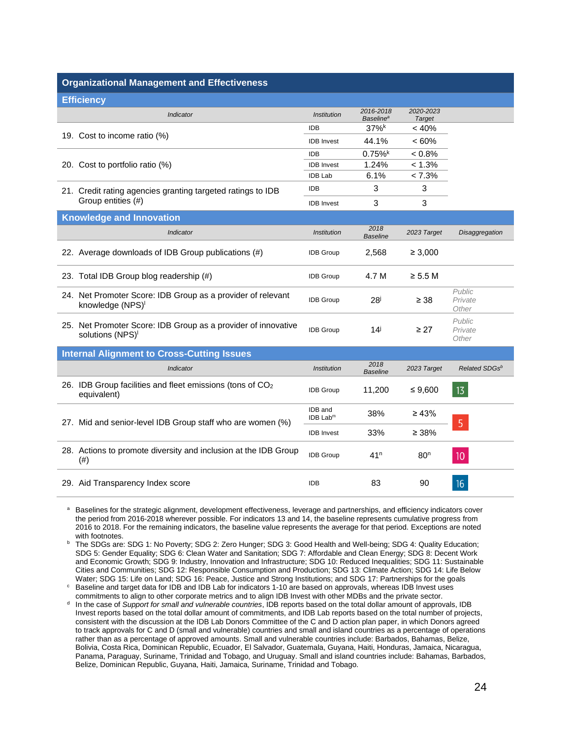#### **Organizational Management and Effectiveness**

| <b>Efficiency</b>                                                                           |                                   |                                          |                            |                            |
|---------------------------------------------------------------------------------------------|-----------------------------------|------------------------------------------|----------------------------|----------------------------|
| Indicator                                                                                   | <b>Institution</b>                | 2016-2018<br><b>Baseline<sup>a</sup></b> | 2020-2023<br><b>Target</b> |                            |
|                                                                                             | <b>IDB</b>                        | 37%                                      | < 40%                      |                            |
| 19. Cost to income ratio (%)                                                                | <b>IDB</b> Invest                 | 44.1%                                    | $<60\%$                    |                            |
|                                                                                             | <b>IDB</b>                        | 0.75%                                    | < 0.8%                     |                            |
| 20. Cost to portfolio ratio (%)                                                             | <b>IDB</b> Invest                 | 1.24%                                    | < 1.3%                     |                            |
|                                                                                             | <b>IDB Lab</b>                    | 6.1%                                     | $< 7.3\%$                  |                            |
| 21. Credit rating agencies granting targeted ratings to IDB                                 | <b>IDB</b>                        | 3                                        | 3                          |                            |
| Group entities (#)                                                                          | <b>IDB</b> Invest                 | 3                                        | 3                          |                            |
| <b>Knowledge and Innovation</b>                                                             |                                   |                                          |                            |                            |
| Indicator                                                                                   | <b>Institution</b>                | 2018<br><b>Baseline</b>                  | 2023 Target                | <b>Disaggregation</b>      |
| 22. Average downloads of IDB Group publications (#)                                         | <b>IDB Group</b>                  | 2,568                                    | $\geq 3,000$               |                            |
| 23. Total IDB Group blog readership (#)                                                     | <b>IDB Group</b>                  | 4.7 M                                    | $\ge$ 5.5 M                |                            |
| 24. Net Promoter Score: IDB Group as a provider of relevant<br>knowledge (NPS) <sup>1</sup> | <b>IDB Group</b>                  | 28 <sup>j</sup>                          | $\geq$ 38                  | Public<br>Private<br>Other |
| 25. Net Promoter Score: IDB Group as a provider of innovative<br>solutions (NPS)            | <b>IDB Group</b>                  | $14^{\mathrm{i}}$                        | $\geq$ 27                  | Public<br>Private<br>Other |
| <b>Internal Alignment to Cross-Cutting Issues</b>                                           |                                   |                                          |                            |                            |
| <b>Indicator</b>                                                                            | <b>Institution</b>                | 2018<br><b>Baseline</b>                  | 2023 Target                | Related SDGsb              |
| 26. IDB Group facilities and fleet emissions (tons of CO <sub>2</sub><br>equivalent)        | <b>IDB Group</b>                  | 11,200                                   | ≤ 9,600                    | 13                         |
| 27. Mid and senior-level IDB Group staff who are women (%)                                  | IDB and<br>$IDB$ Lab <sup>m</sup> | 38%                                      | $\geq 43\%$                | 5                          |
|                                                                                             | <b>IDB</b> Invest                 | 33%                                      | $\geq 38\%$                |                            |
| 28. Actions to promote diversity and inclusion at the IDB Group<br>(# )                     | <b>IDB Group</b>                  | 41 <sup>n</sup>                          | 80 <sup>n</sup>            | 10                         |
| 29. Aid Transparency Index score                                                            | <b>IDB</b>                        | 83                                       | 90                         | 16                         |

<sup>a</sup> Baselines for the strategic alignment, development effectiveness, leverage and partnerships, and efficiency indicators cover the period from 2016-2018 wherever possible. For indicators 13 and 14, the baseline represents cumulative progress from 2016 to 2018. For the remaining indicators, the baseline value represents the average for that period. Exceptions are noted with footnotes.

<sup>b</sup> The SDGs are: SDG 1: No Poverty; SDG 2: Zero Hunger; SDG 3: Good Health and Well-being; SDG 4: Quality Education; SDG 5: Gender Equality; SDG 6: Clean Water and Sanitation; SDG 7: Affordable and Clean Energy; SDG 8: Decent Work and Economic Growth; SDG 9: Industry, Innovation and Infrastructure; SDG 10: Reduced Inequalities; SDG 11: Sustainable Cities and Communities; SDG 12: Responsible Consumption and Production; SDG 13: Climate Action; SDG 14: Life Below Water; SDG 15: Life on Land; SDG 16: Peace, Justice and Strong Institutions; and SDG 17: Partnerships for the goals

<sup>c</sup> Baseline and target data for IDB and IDB Lab for indicators 1-10 are based on approvals, whereas IDB Invest uses commitments to align to other corporate metrics and to align IDB Invest with other MDBs and the private sector.

d In the case of *Support for small and vulnerable countries*, IDB reports based on the total dollar amount of approvals, IDB Invest reports based on the total dollar amount of commitments, and IDB Lab reports based on the total number of projects, consistent with the discussion at the IDB Lab Donors Committee of the C and D action plan paper, in which Donors agreed to track approvals for C and D (small and vulnerable) countries and small and island countries as a percentage of operations rather than as a percentage of approved amounts. Small and vulnerable countries include: Barbados, Bahamas, Belize, Bolivia, Costa Rica, Dominican Republic, Ecuador, El Salvador, Guatemala, Guyana, Haiti, Honduras, Jamaica, Nicaragua, Panama, Paraguay, Suriname, Trinidad and Tobago, and Uruguay. Small and island countries include: Bahamas, Barbados, Belize, Dominican Republic, Guyana, Haiti, Jamaica, Suriname, Trinidad and Tobago.